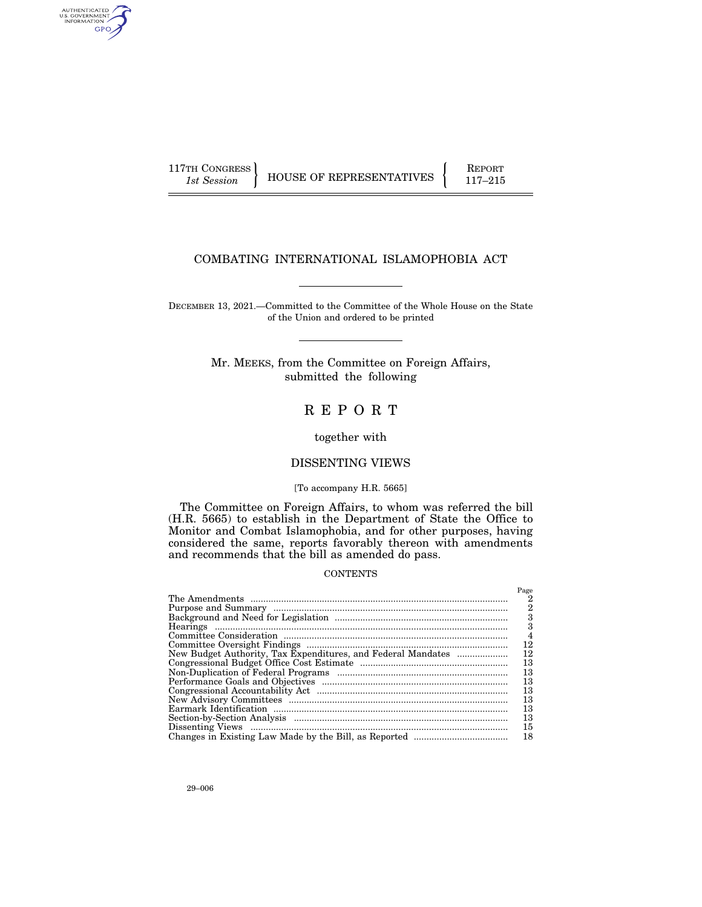AUTHENTICATED<br>U.S. GOVERNMENT<br>INFORMATION GPO

117TH CONGRESS HOUSE OF REPRESENTATIVES FEPORT 117-215

## COMBATING INTERNATIONAL ISLAMOPHOBIA ACT

DECEMBER 13, 2021.—Committed to the Committee of the Whole House on the State of the Union and ordered to be printed

> Mr. MEEKS, from the Committee on Foreign Affairs, submitted the following

## R E P O R T

together with

## DISSENTING VIEWS

#### [To accompany H.R. 5665]

The Committee on Foreign Affairs, to whom was referred the bill (H.R. 5665) to establish in the Department of State the Office to Monitor and Combat Islamophobia, and for other purposes, having considered the same, reports favorably thereon with amendments and recommends that the bill as amended do pass.

## CONTENTS

|                                                              | Page           |
|--------------------------------------------------------------|----------------|
|                                                              | 2              |
|                                                              | 2              |
|                                                              | 3              |
|                                                              | 3              |
|                                                              | $\overline{4}$ |
|                                                              | 12             |
| New Budget Authority, Tax Expenditures, and Federal Mandates | 12             |
|                                                              | 13             |
|                                                              | 13             |
|                                                              | 13             |
|                                                              | 13             |
|                                                              | 13             |
|                                                              | 13             |
|                                                              | 13             |
|                                                              | 15             |
|                                                              | 18             |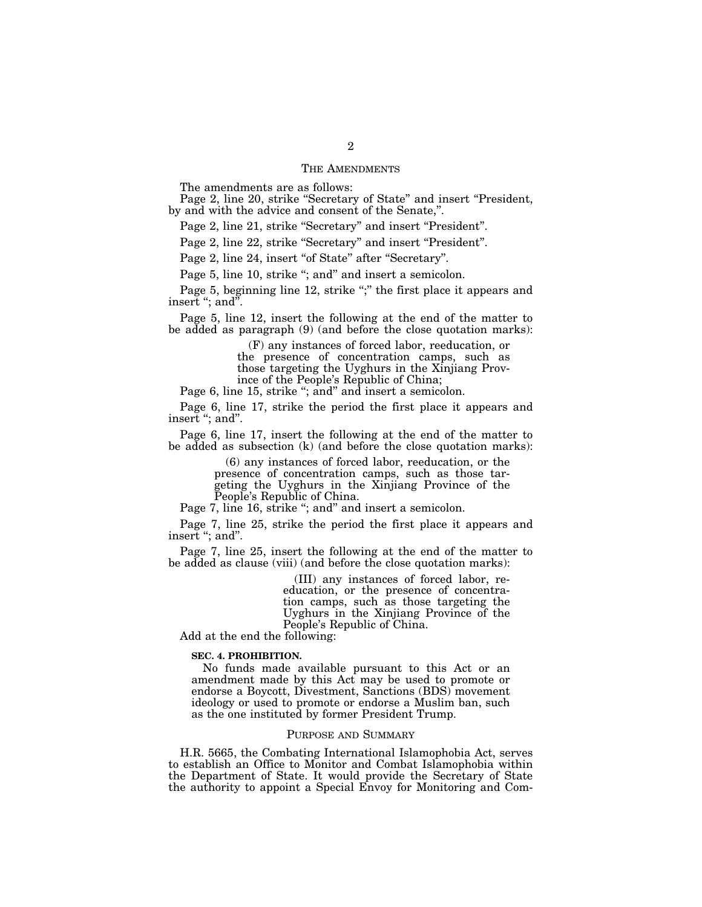#### THE AMENDMENTS

The amendments are as follows:

Page 2, line 20, strike "Secretary of State" and insert "President, by and with the advice and consent of the Senate,''.

Page 2, line 21, strike "Secretary" and insert "President".

Page 2, line 22, strike "Secretary" and insert "President".

Page 2, line 24, insert "of State" after "Secretary".

Page 5, line 10, strike "; and" and insert a semicolon.

Page 5, beginning line 12, strike ";" the first place it appears and insert ''; and''.

Page 5, line 12, insert the following at the end of the matter to be added as paragraph (9) (and before the close quotation marks):

> (F) any instances of forced labor, reeducation, or the presence of concentration camps, such as those targeting the Uyghurs in the Xinjiang Province of the People's Republic of China;

Page 6, line 15, strike "; and" and insert a semicolon.

Page 6, line 17, strike the period the first place it appears and insert "; and".

Page 6, line 17, insert the following at the end of the matter to be added as subsection (k) (and before the close quotation marks):

> (6) any instances of forced labor, reeducation, or the presence of concentration camps, such as those targeting the Uyghurs in the Xinjiang Province of the People's Republic of China.

Page 7, line 16, strike "; and" and insert a semicolon.

Page 7, line 25, strike the period the first place it appears and insert "; and".

Page 7, line 25, insert the following at the end of the matter to be added as clause (viii) (and before the close quotation marks):

> (III) any instances of forced labor, reeducation, or the presence of concentration camps, such as those targeting the Uyghurs in the Xinjiang Province of the People's Republic of China.

Add at the end the following:

#### **SEC. 4. PROHIBITION.**

No funds made available pursuant to this Act or an amendment made by this Act may be used to promote or endorse a Boycott, Divestment, Sanctions (BDS) movement ideology or used to promote or endorse a Muslim ban, such as the one instituted by former President Trump.

#### PURPOSE AND SUMMARY

H.R. 5665, the Combating International Islamophobia Act, serves to establish an Office to Monitor and Combat Islamophobia within the Department of State. It would provide the Secretary of State the authority to appoint a Special Envoy for Monitoring and Com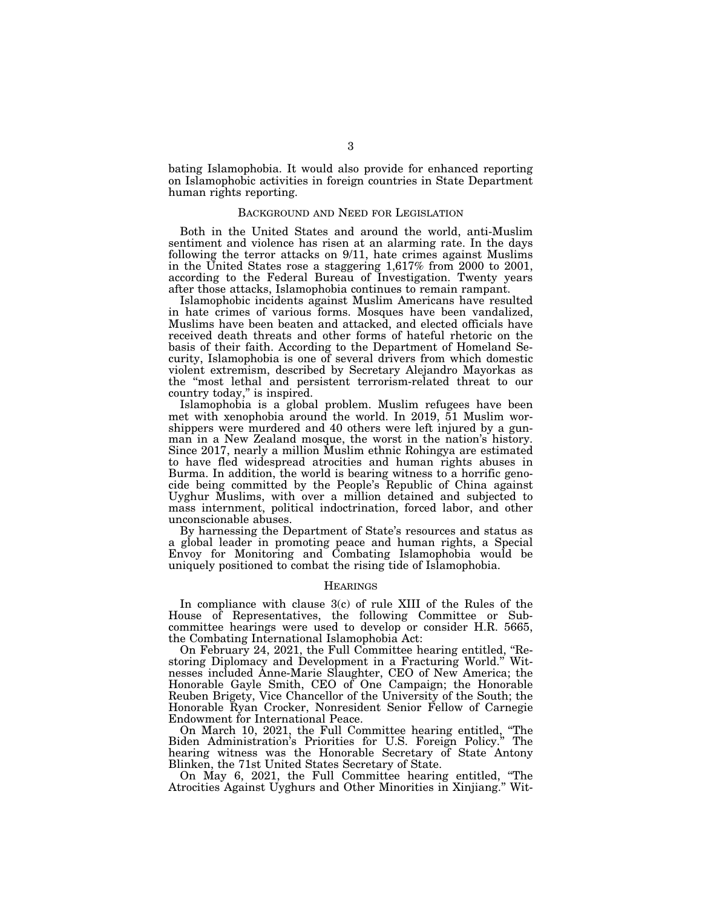bating Islamophobia. It would also provide for enhanced reporting on Islamophobic activities in foreign countries in State Department human rights reporting.

## BACKGROUND AND NEED FOR LEGISLATION

Both in the United States and around the world, anti-Muslim sentiment and violence has risen at an alarming rate. In the days following the terror attacks on 9/11, hate crimes against Muslims in the United States rose a staggering 1,617% from 2000 to 2001, according to the Federal Bureau of Investigation. Twenty years after those attacks, Islamophobia continues to remain rampant.

Islamophobic incidents against Muslim Americans have resulted in hate crimes of various forms. Mosques have been vandalized, Muslims have been beaten and attacked, and elected officials have received death threats and other forms of hateful rhetoric on the basis of their faith. According to the Department of Homeland Security, Islamophobia is one of several drivers from which domestic violent extremism, described by Secretary Alejandro Mayorkas as the ''most lethal and persistent terrorism-related threat to our country today,'' is inspired.

Islamophobia is a global problem. Muslim refugees have been met with xenophobia around the world. In 2019, 51 Muslim worshippers were murdered and 40 others were left injured by a gunman in a New Zealand mosque, the worst in the nation's history. Since 2017, nearly a million Muslim ethnic Rohingya are estimated to have fled widespread atrocities and human rights abuses in Burma. In addition, the world is bearing witness to a horrific genocide being committed by the People's Republic of China against Uyghur Muslims, with over a million detained and subjected to mass internment, political indoctrination, forced labor, and other unconscionable abuses.

By harnessing the Department of State's resources and status as a global leader in promoting peace and human rights, a Special Envoy for Monitoring and Combating Islamophobia would be uniquely positioned to combat the rising tide of Islamophobia.

## **HEARINGS**

In compliance with clause 3(c) of rule XIII of the Rules of the House of Representatives, the following Committee or Subcommittee hearings were used to develop or consider H.R. 5665, the Combating International Islamophobia Act:

On February 24, 2021, the Full Committee hearing entitled, ''Restoring Diplomacy and Development in a Fracturing World.'' Witnesses included Anne-Marie Slaughter, CEO of New America; the Honorable Gayle Smith, CEO of One Campaign; the Honorable Reuben Brigety, Vice Chancellor of the University of the South; the Honorable Ryan Crocker, Nonresident Senior Fellow of Carnegie Endowment for International Peace.

On March 10, 2021, the Full Committee hearing entitled, ''The Biden Administration's Priorities for U.S. Foreign Policy.'' The hearing witness was the Honorable Secretary of State Antony Blinken, the 71st United States Secretary of State.

On May 6, 2021, the Full Committee hearing entitled, ''The Atrocities Against Uyghurs and Other Minorities in Xinjiang.'' Wit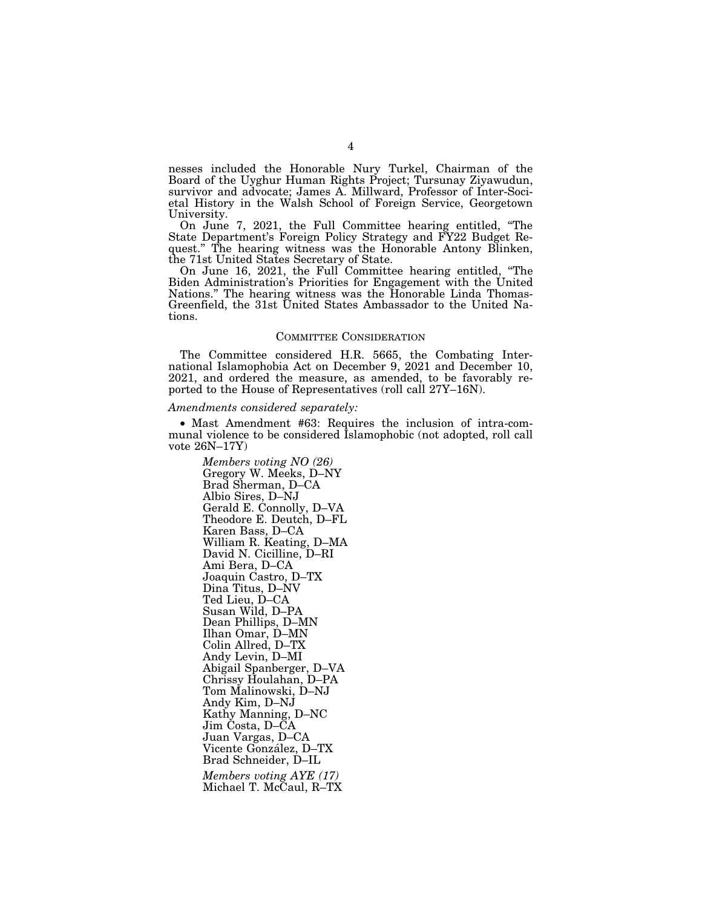nesses included the Honorable Nury Turkel, Chairman of the Board of the Uyghur Human Rights Project; Tursunay Ziyawudun, survivor and advocate; James A. Millward, Professor of Inter-Societal History in the Walsh School of Foreign Service, Georgetown University.

On June 7, 2021, the Full Committee hearing entitled, ''The State Department's Foreign Policy Strategy and FY22 Budget Request.'' The hearing witness was the Honorable Antony Blinken, the 71st United States Secretary of State.

On June 16, 2021, the Full Committee hearing entitled, ''The Biden Administration's Priorities for Engagement with the United Nations." The hearing witness was the Honorable Linda Thomas-Greenfield, the 31st United States Ambassador to the United Nations.

#### COMMITTEE CONSIDERATION

The Committee considered H.R. 5665, the Combating International Islamophobia Act on December 9, 2021 and December 10, 2021, and ordered the measure, as amended, to be favorably reported to the House of Representatives (roll call 27Y–16N).

#### *Amendments considered separately:*

• Mast Amendment #63: Requires the inclusion of intra-communal violence to be considered Islamophobic (not adopted, roll call vote 26N–17Y)

*Members voting NO (26)*  Gregory W. Meeks, D–NY Brad Sherman, D–CA Albio Sires, D–NJ Gerald E. Connolly, D–VA Theodore E. Deutch, D–FL Karen Bass, D–CA William R. Keating, D–MA David N. Cicilline, D–RI Ami Bera, D–CA Joaquin Castro, D–TX Dina Titus, D–NV Ted Lieu, D–CA Susan Wild, D–PA Dean Phillips, D–MN Ilhan Omar, D–MN Colin Allred, D–TX Andy Levin, D–MI Abigail Spanberger, D–VA Chrissy Houlahan, D–PA Tom Malinowski, D–NJ Andy Kim, D–NJ Kathy Manning, D–NC Jim Costa, D–CA Juan Vargas, D–CA Vicente González, D-TX Brad Schneider, D–IL *Members voting AYE (17)*  Michael T. McCaul, R–TX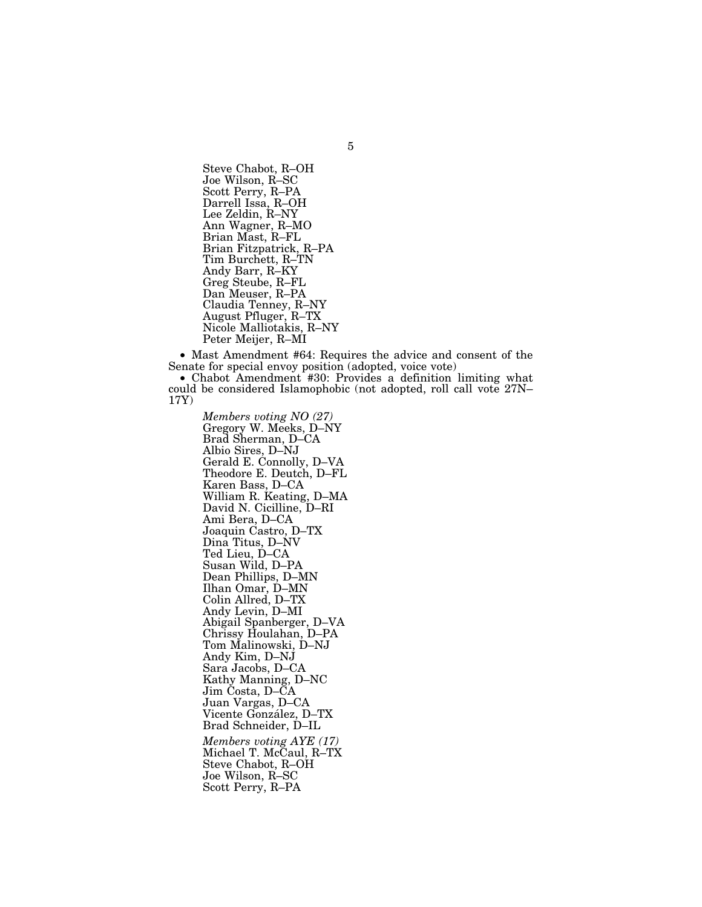Steve Chabot, R–OH Joe Wilson, R–SC Scott Perry, R–PA Darrell Issa, R–OH Lee Zeldin, R–NY Ann Wagner, R–MO Brian Mast, R–FL Brian Fitzpatrick, R–PA Tim Burchett, R–TN Andy Barr, R–KY Greg Steube, R–FL Dan Meuser, R–PA Claudia Tenney, R–NY August Pfluger, R–TX Nicole Malliotakis, R–NY Peter Meijer, R–MI

• Mast Amendment #64: Requires the advice and consent of the Senate for special envoy position (adopted, voice vote)

• Chabot Amendment #30: Provides a definition limiting what could be considered Islamophobic (not adopted, roll call vote 27N– 17Y)

*Members voting NO (27)*  Gregory W. Meeks, D–NY Brad Sherman, D–CA Albio Sires, D–NJ Gerald E. Connolly, D–VA Theodore E. Deutch, D–FL Karen Bass, D–CA William R. Keating, D–MA David N. Cicilline, D–RI Ami Bera, D–CA Joaquin Castro, D–TX Dina Titus, D–NV Ted Lieu, D–CA Susan Wild, D–PA Dean Phillips, D–MN Ilhan Omar, D–MN Colin Allred, D–TX Andy Levin, D–MI Abigail Spanberger, D–VA Chrissy Houlahan, D–PA Tom Malinowski, D–NJ Andy Kim, D–NJ Sara Jacobs, D–CA Kathy Manning, D–NC Jim Costa, D–CA Juan Vargas, D–CA Vicente González, D-TX Brad Schneider, D–IL *Members voting AYE (17)*  Michael T. McCaul, R–TX Steve Chabot, R–OH Joe Wilson, R–SC Scott Perry, R–PA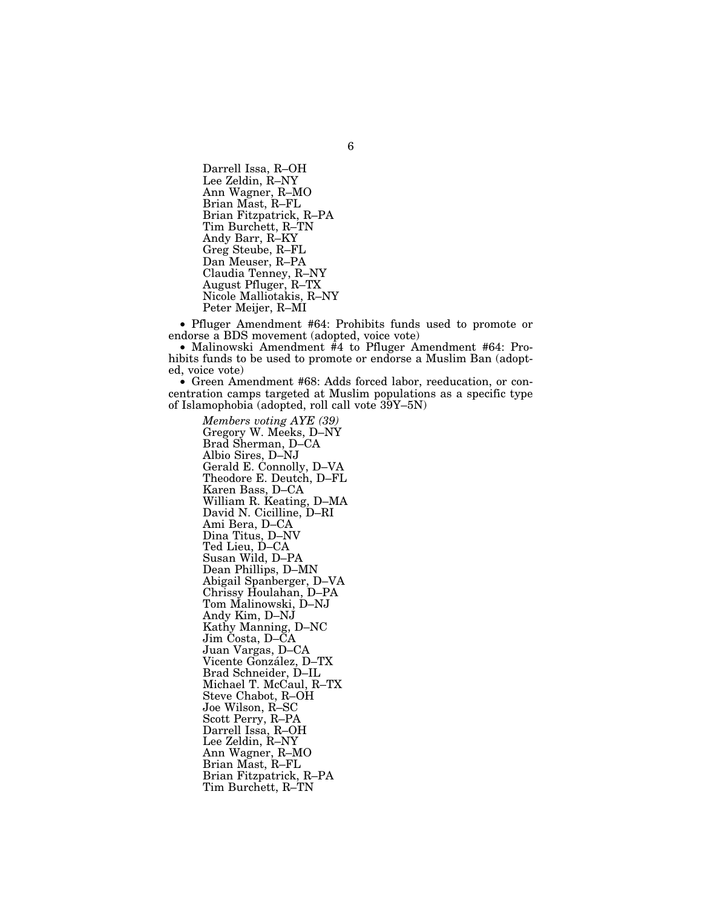Darrell Issa, R–OH Lee Zeldin, R–NY Ann Wagner, R–MO Brian Mast, R–FL Brian Fitzpatrick, R–PA Tim Burchett, R–TN Andy Barr, R–KY Greg Steube, R–FL Dan Meuser, R–PA Claudia Tenney, R–NY August Pfluger, R–TX Nicole Malliotakis, R–NY Peter Meijer, R–MI

• Pfluger Amendment #64: Prohibits funds used to promote or endorse a BDS movement (adopted, voice vote)

• Malinowski Amendment #4 to Pfluger Amendment #64: Prohibits funds to be used to promote or endorse a Muslim Ban (adopted, voice vote)

• Green Amendment #68: Adds forced labor, reeducation, or concentration camps targeted at Muslim populations as a specific type of Islamophobia (adopted, roll call vote  $39Y-5N$ )

*Members voting AYE (39)*  Gregory W. Meeks, D–NY Brad Sherman, D–CA Albio Sires, D–NJ Gerald E. Connolly, D–VA Theodore E. Deutch, D–FL Karen Bass, D–CA William R. Keating, D–MA David N. Cicilline, D–RI Ami Bera, D–CA Dina Titus, D–NV Ted Lieu, D–CA Susan Wild, D–PA Dean Phillips, D–MN Abigail Spanberger, D–VA Chrissy Houlahan, D–PA Tom Malinowski, D–NJ Andy Kim, D–NJ Kathy Manning, D–NC Jim Costa, D–CA Juan Vargas, D–CA Vicente González, D-TX Brad Schneider, D–IL Michael T. McCaul, R–TX Steve Chabot, R–OH Joe Wilson, R–SC Scott Perry, R–PA Darrell Issa, R–OH Lee Zeldin, R–NY Ann Wagner, R–MO Brian Mast, R–FL Brian Fitzpatrick, R–PA Tim Burchett, R–TN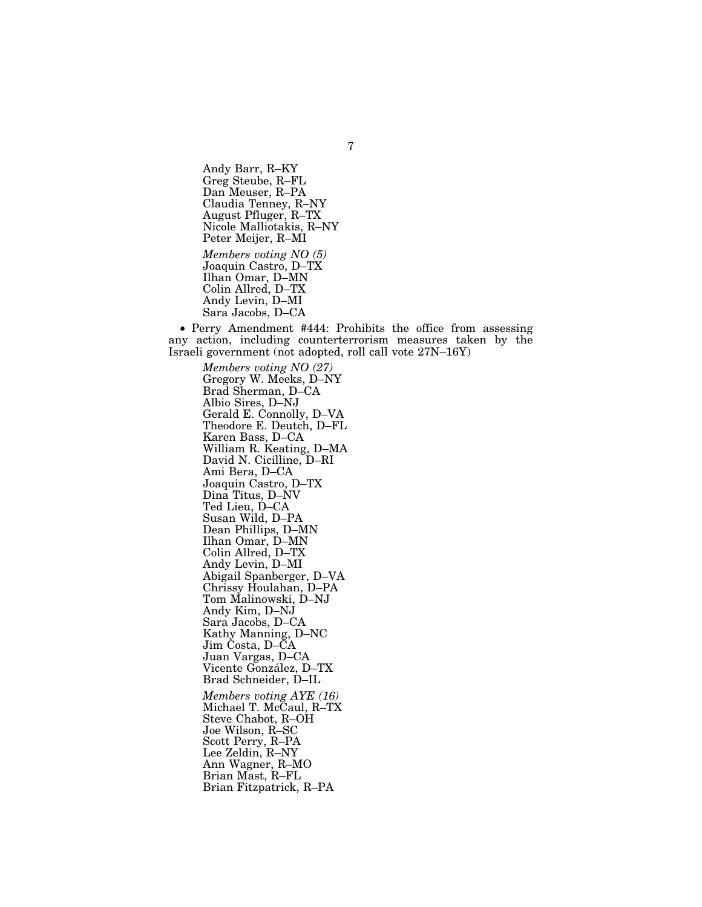Andy Barr, R–KY Greg Steube, R–FL Dan Meuser, R–PA Claudia Tenney, R–NY August Pfluger, R–TX Nicole Malliotakis, R–NY Peter Meijer, R–MI *Members voting NO (5)*  Joaquin Castro, D–TX Ilhan Omar, D–MN Colin Allred, D–TX Andy Levin, D–MI Sara Jacobs, D–CA

• Perry Amendment #444: Prohibits the office from assessing any action, including counterterrorism measures taken by the Israeli government (not adopted, roll call vote 27N–16Y)

*Members voting NO (27)*  Gregory W. Meeks, D–NY Brad Sherman, D–CA Albio Sires, D–NJ Gerald E. Connolly, D–VA Theodore E. Deutch, D–FL Karen Bass, D–CA William R. Keating, D–MA David N. Cicilline, D–RI Ami Bera, D–CA Joaquin Castro, D–TX Dina Titus, D–NV Ted Lieu, D–CA Susan Wild, D–PA Dean Phillips, D–MN Ilhan Omar, D–MN Colin Allred, D–TX Andy Levin, D–MI Abigail Spanberger, D–VA Chrissy Houlahan, D–PA Tom Malinowski, D–NJ Andy Kim, D–NJ Sara Jacobs, D–CA Kathy Manning, D–NC Jim Costa, D–CA Juan Vargas, D–CA Vicente González, D-TX Brad Schneider, D–IL *Members voting AYE (16)*  Michael T. McCaul, R–TX Steve Chabot, R–OH Joe Wilson, R–SC Scott Perry, R–PA Lee Zeldin, R–NY Ann Wagner, R–MO Brian Mast, R–FL Brian Fitzpatrick, R–PA

7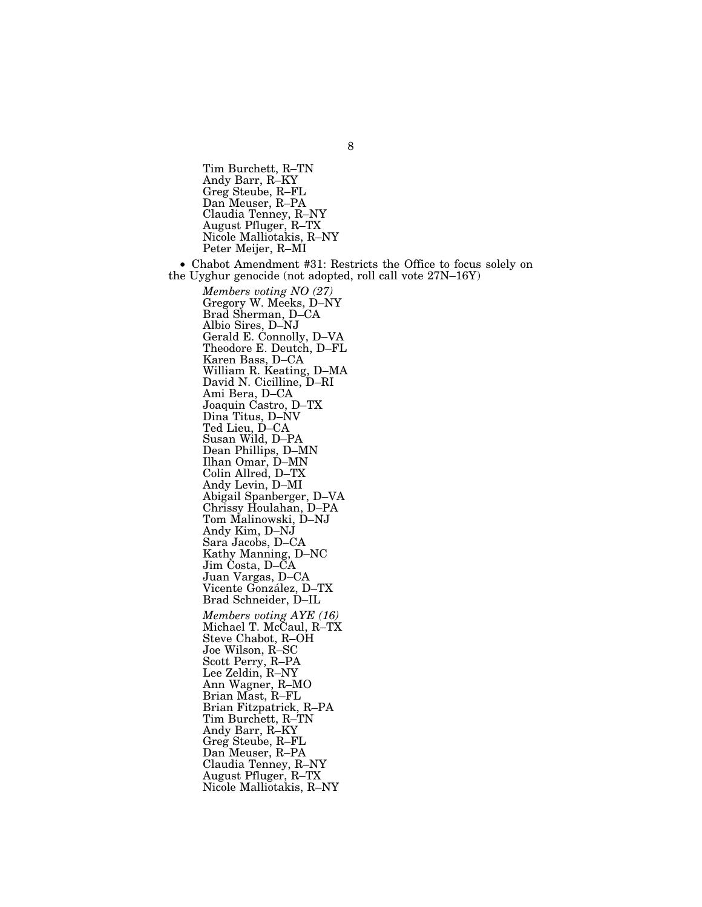Tim Burchett, R–TN Andy Barr, R–KY Greg Steube, R–FL Dan Meuser, R–PA Claudia Tenney, R–NY August Pfluger, R–TX Nicole Malliotakis, R–NY Peter Meijer, R–MI

• Chabot Amendment #31: Restricts the Office to focus solely on the Uyghur genocide (not adopted, roll call vote 27N–16Y)

*Members voting NO (27)*  Gregory W. Meeks, D–NY Brad Sherman, D–CA Albio Sires, D–NJ Gerald E. Connolly, D–VA Theodore E. Deutch, D–FL Karen Bass, D–CA William R. Keating, D–MA David N. Cicilline, D–RI Ami Bera, D–CA Joaquin Castro, D–TX Dina Titus, D–NV Ted Lieu, D-CA Susan Wild, D–PA Dean Phillips, D–MN Ilhan Omar, D–MN Colin Allred, D–TX Andy Levin, D–MI Abigail Spanberger, D–VA Chrissy Houlahan, D–PA Tom Malinowski, D–NJ Andy Kim, D–NJ Sara Jacobs, D–CA Kathy Manning, D–NC Jim Costa, D–CA Juan Vargas, D–CA Vicente González, D-TX Brad Schneider, D–IL *Members voting AYE (16)*  Michael T. McCaul, R-TX Steve Chabot, R–OH Joe Wilson, R–SC Scott Perry, R–PA Lee Zeldin, R–NY Ann Wagner, R–MO Brian Mast, R–FL Brian Fitzpatrick, R–PA Tim Burchett, R–TN Andy Barr, R–KY Greg Steube, R–FL Dan Meuser, R–PA Claudia Tenney, R–NY August Pfluger, R–TX Nicole Malliotakis, R–NY

8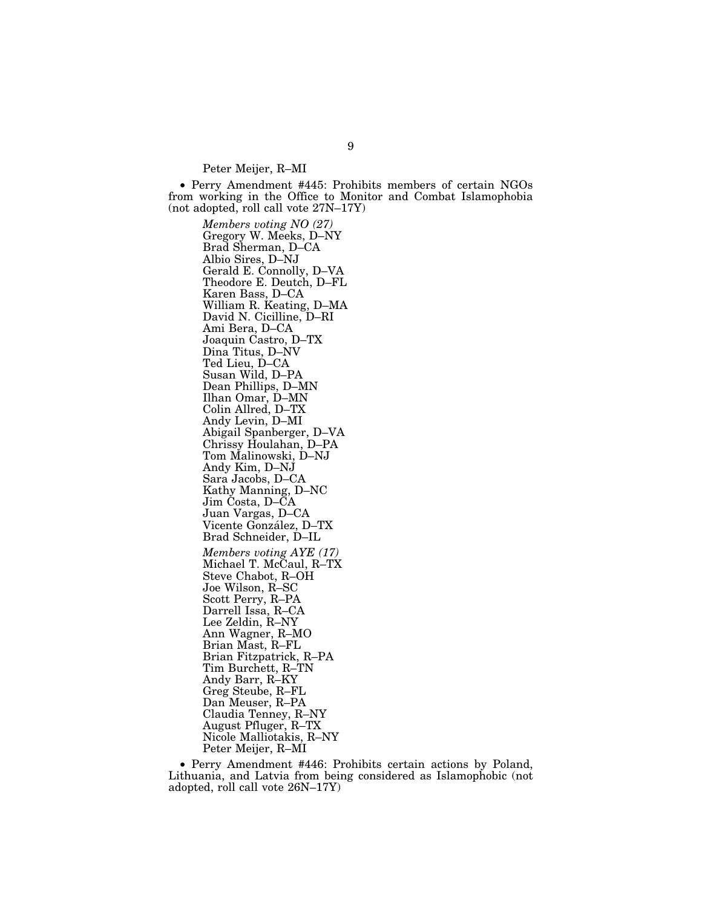Peter Meijer, R–MI

• Perry Amendment #445: Prohibits members of certain NGOs from working in the Office to Monitor and Combat Islamophobia (not adopted, roll call vote 27N–17Y)

*Members voting NO (27)*  Gregory W. Meeks, D–NY Brad Sherman, D–CA Albio Sires, D–NJ Gerald E. Connolly, D–VA Theodore E. Deutch, D–FL Karen Bass, D–CA William R. Keating, D–MA David N. Cicilline, D–RI Ami Bera, D–CA Joaquin Castro, D–TX Dina Titus, D–NV Ted Lieu, D–CA Susan Wild, D–PA Dean Phillips, D–MN Ilhan Omar, D–MN Colin Allred, D–TX Andy Levin, D–MI Abigail Spanberger, D–VA Chrissy Houlahan, D–PA Tom Malinowski, D–NJ Andy Kim, D–NJ Sara Jacobs, D–CA Kathy Manning, D–NC Jim Costa, D–CA Juan Vargas, D–CA Vicente González, D-TX Brad Schneider, D–IL *Members voting AYE (17)*  Michael T. McCaul, R–TX Steve Chabot, R–OH Joe Wilson, R–SC Scott Perry, R–PA Darrell Issa, R–CA Lee Zeldin, R–NY Ann Wagner, R–MO Brian Mast, R–FL Brian Fitzpatrick, R–PA Tim Burchett, R–TN Andy Barr, R–KY Greg Steube, R–FL Dan Meuser, R–PA Claudia Tenney, R–NY August Pfluger, R–TX Nicole Malliotakis, R–NY Peter Meijer, R–MI

• Perry Amendment #446: Prohibits certain actions by Poland, Lithuania, and Latvia from being considered as Islamophobic (not adopted, roll call vote 26N–17Y)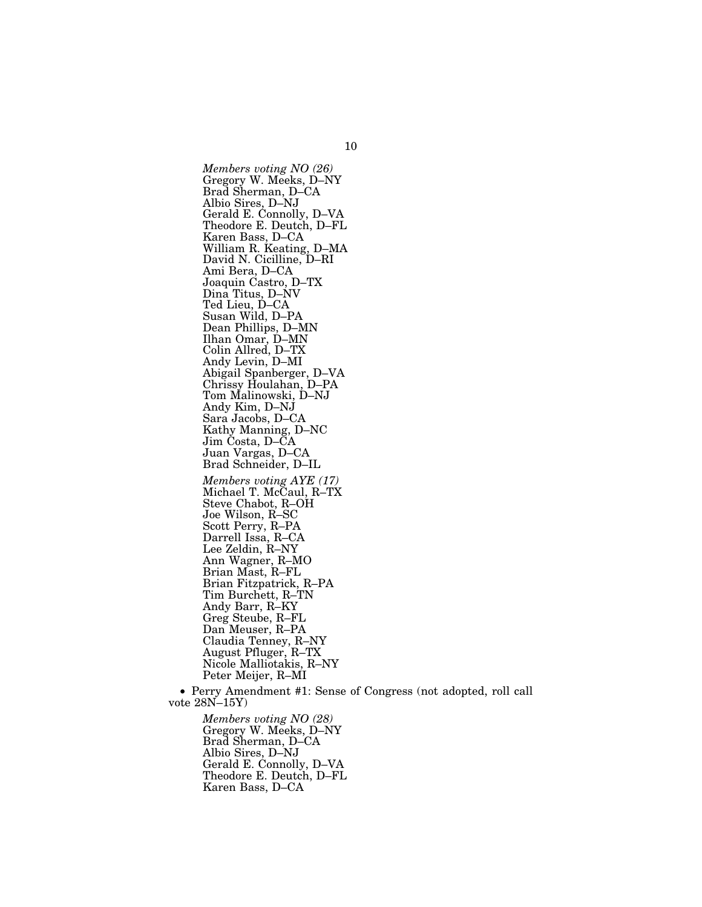*Members voting NO (26)*  Gregory W. Meeks, D–NY Brad Sherman, D–CA Albio Sires, D–NJ Gerald E. Connolly, D–VA Theodore E. Deutch, D–FL Karen Bass, D–CA William R. Keating, D–MA David N. Cicilline, D–RI Ami Bera, D–CA Joaquin Castro, D–TX Dina Titus, D–NV Ted Lieu, D–CA Susan Wild, D–PA Dean Phillips, D–MN Ilhan Omar, D–MN Colin Allred, D–TX Andy Levin, D–MI Abigail Spanberger, D–VA Chrissy Houlahan, D–PA Tom Malinowski, D–NJ Andy Kim, D–NJ Sara Jacobs, D–CA Kathy Manning, D–NC Jim Costa, D–CA Juan Vargas, D–CA Brad Schneider, D–IL *Members voting AYE (17)*  Michael T. McCaul, R–TX Steve Chabot, R–OH Joe Wilson, R–SC Scott Perry, R–PA Darrell Issa, R–CA Lee Zeldin, R–NY Ann Wagner, R–MO Brian Mast, R–FL Brian Fitzpatrick, R–PA Tim Burchett, R–TN Andy Barr, R–KY Greg Steube, R–FL Dan Meuser, R–PA Claudia Tenney, R–NY August Pfluger, R–TX Nicole Malliotakis, R–NY Peter Meijer, R–MI

• Perry Amendment #1: Sense of Congress (not adopted, roll call vote 28N–15Y)

*Members voting NO (28)*  Gregory W. Meeks, D–NY Brad Sherman, D–CA Albio Sires, D–NJ Gerald E. Connolly, D–VA Theodore E. Deutch, D–FL Karen Bass, D–CA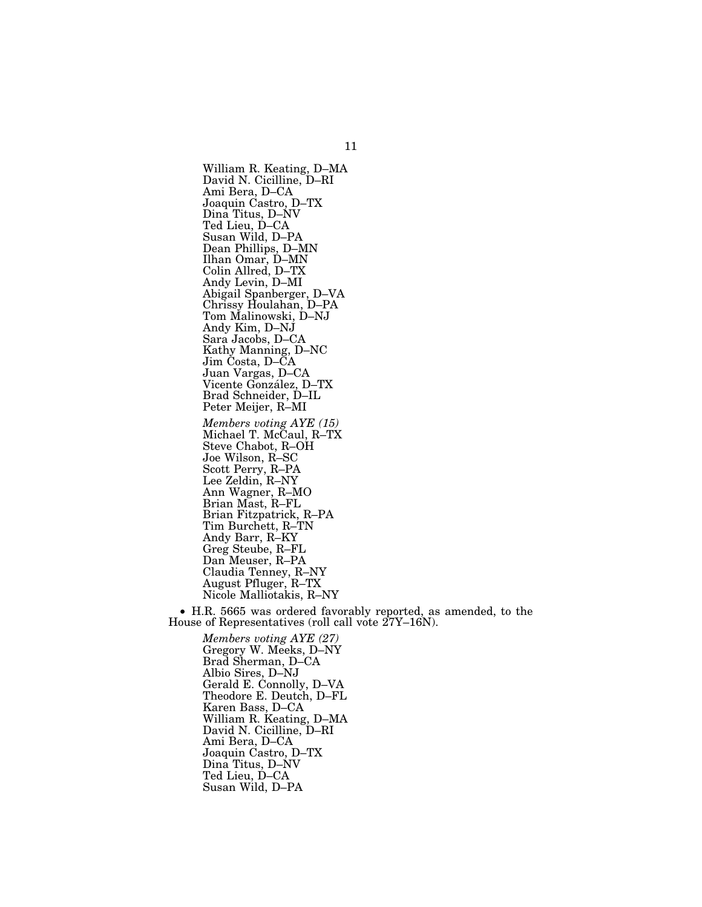William R. Keating, D–MA David N. Cicilline, D–RI Ami Bera, D–CA Joaquin Castro, D–TX Dina Titus, D–NV Ted Lieu, D–CA Susan Wild, D–PA Dean Phillips, D–MN Ilhan Omar, D–MN Colin Allred, D–TX Andy Levin, D–MI Abigail Spanberger, D–VA Chrissy Houlahan, D–PA Tom Malinowski, D–NJ Andy Kim, D–NJ Sara Jacobs, D–CA Kathy Manning, D–NC Jim Costa, D–CA Juan Vargas, D–CA Vicente González, D-TX Brad Schneider, D–IL Peter Meijer, R–MI *Members voting AYE (15)*  Michael T. McCaul, R–TX Steve Chabot, R–OH Joe Wilson, R–SC Scott Perry, R–PA Lee Zeldin, R–NY Ann Wagner, R–MO Brian Mast, R–FL Brian Fitzpatrick, R–PA Tim Burchett, R–TN Andy Barr, R–KY Greg Steube, R–FL Dan Meuser, R–PA Claudia Tenney, R–NY August Pfluger, R–TX Nicole Malliotakis, R–NY

• H.R. 5665 was ordered favorably reported, as amended, to the House of Representatives (roll call vote 27Y–16N).

*Members voting AYE (27)*  Gregory W. Meeks, D–NY Brad Sherman, D–CA Albio Sires, D–NJ Gerald E. Connolly, D–VA Theodore E. Deutch, D–FL Karen Bass, D–CA William R. Keating, D–MA David N. Cicilline, D–RI Ami Bera, D–CA Joaquin Castro, D–TX Dina Titus, D–NV Ted Lieu, D–CA Susan Wild, D–PA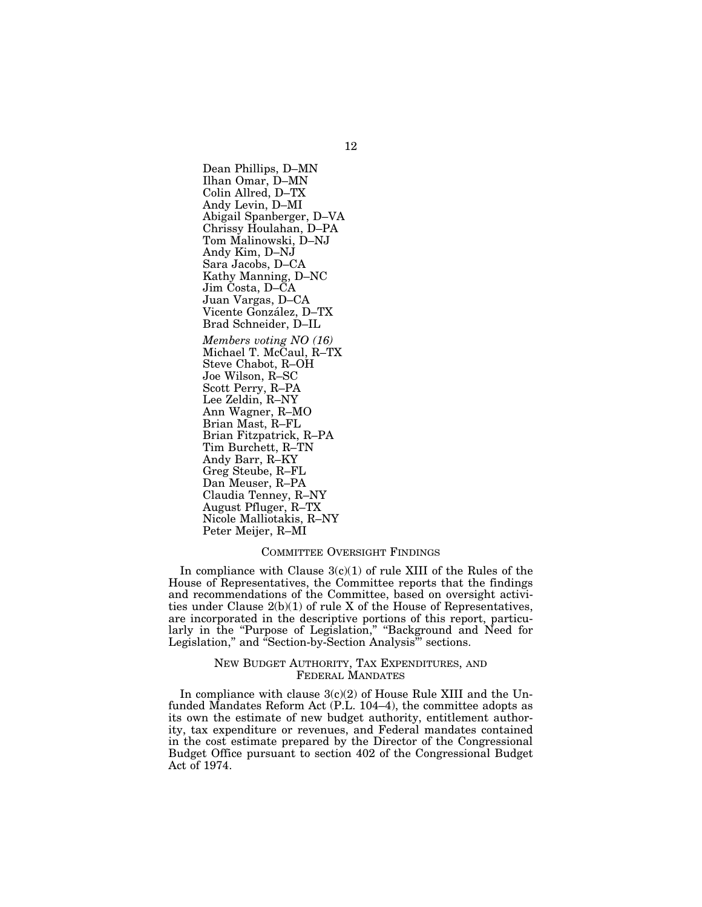Dean Phillips, D–MN Ilhan Omar, D–MN Colin Allred, D–TX Andy Levin, D–MI Abigail Spanberger, D–VA Chrissy Houlahan, D–PA Tom Malinowski, D–NJ Andy Kim, D–NJ Sara Jacobs, D–CA Kathy Manning, D–NC Jim Costa, D–CA Juan Vargas, D–CA Vicente González, D-TX Brad Schneider, D–IL *Members voting NO (16)*  Michael T. McCaul, R–TX Steve Chabot, R–OH Joe Wilson, R–SC Scott Perry, R–PA Lee Zeldin, R–NY Ann Wagner, R–MO Brian Mast, R–FL Brian Fitzpatrick, R–PA Tim Burchett, R–TN Andy Barr, R–KY Greg Steube, R–FL Dan Meuser, R–PA Claudia Tenney, R–NY August Pfluger, R–TX Nicole Malliotakis, R–NY Peter Meijer, R–MI

#### COMMITTEE OVERSIGHT FINDINGS

In compliance with Clause  $3(c)(1)$  of rule XIII of the Rules of the House of Representatives, the Committee reports that the findings and recommendations of the Committee, based on oversight activities under Clause  $2(b)(1)$  of rule X of the House of Representatives, are incorporated in the descriptive portions of this report, particularly in the "Purpose of Legislation," "Background and Need for Legislation," and "Section-by-Section Analysis" sections.

## NEW BUDGET AUTHORITY, TAX EXPENDITURES, AND FEDERAL MANDATES

In compliance with clause  $3(c)(2)$  of House Rule XIII and the Unfunded Mandates Reform Act (P.L. 104–4), the committee adopts as its own the estimate of new budget authority, entitlement authority, tax expenditure or revenues, and Federal mandates contained in the cost estimate prepared by the Director of the Congressional Budget Office pursuant to section 402 of the Congressional Budget Act of 1974.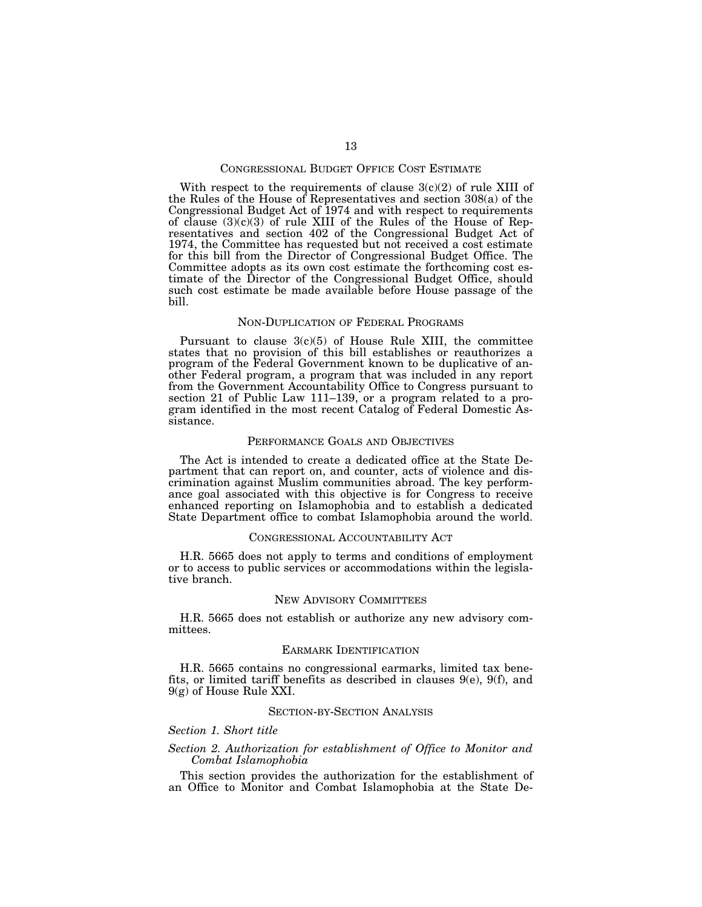#### CONGRESSIONAL BUDGET OFFICE COST ESTIMATE

With respect to the requirements of clause  $3(c)(2)$  of rule XIII of the Rules of the House of Representatives and section 308(a) of the Congressional Budget Act of 1974 and with respect to requirements of clause  $(3)(c)(3)$  of rule XIII of the Rules of the House of Representatives and section 402 of the Congressional Budget Act of 1974, the Committee has requested but not received a cost estimate for this bill from the Director of Congressional Budget Office. The Committee adopts as its own cost estimate the forthcoming cost estimate of the Director of the Congressional Budget Office, should such cost estimate be made available before House passage of the bill.

#### NON-DUPLICATION OF FEDERAL PROGRAMS

Pursuant to clause  $3(c)(5)$  of House Rule XIII, the committee states that no provision of this bill establishes or reauthorizes a program of the Federal Government known to be duplicative of another Federal program, a program that was included in any report from the Government Accountability Office to Congress pursuant to section 21 of Public Law 111–139, or a program related to a program identified in the most recent Catalog of Federal Domestic Assistance.

#### PERFORMANCE GOALS AND OBJECTIVES

The Act is intended to create a dedicated office at the State Department that can report on, and counter, acts of violence and discrimination against Muslim communities abroad. The key performance goal associated with this objective is for Congress to receive enhanced reporting on Islamophobia and to establish a dedicated State Department office to combat Islamophobia around the world.

### CONGRESSIONAL ACCOUNTABILITY ACT

H.R. 5665 does not apply to terms and conditions of employment or to access to public services or accommodations within the legislative branch.

#### NEW ADVISORY COMMITTEES

H.R. 5665 does not establish or authorize any new advisory committees.

#### EARMARK IDENTIFICATION

H.R. 5665 contains no congressional earmarks, limited tax benefits, or limited tariff benefits as described in clauses 9(e), 9(f), and 9(g) of House Rule XXI.

## SECTION-BY-SECTION ANALYSIS

#### *Section 1. Short title*

## *Section 2. Authorization for establishment of Office to Monitor and Combat Islamophobia*

This section provides the authorization for the establishment of an Office to Monitor and Combat Islamophobia at the State De-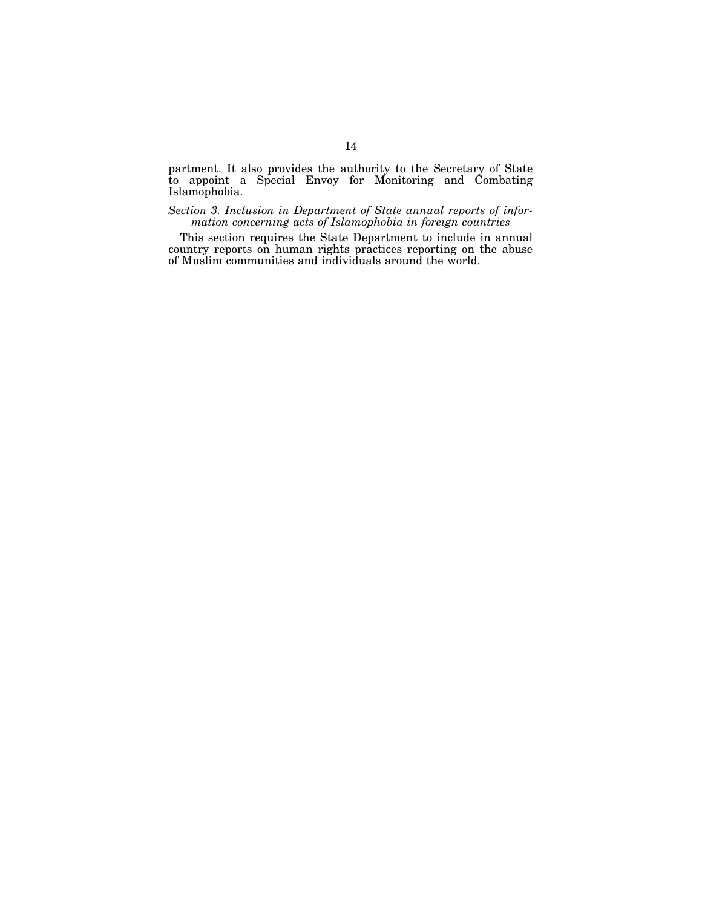partment. It also provides the authority to the Secretary of State to appoint a Special Envoy for Monitoring and Combating Islamophobia.

*Section 3. Inclusion in Department of State annual reports of information concerning acts of Islamophobia in foreign countries* 

This section requires the State Department to include in annual country reports on human rights practices reporting on the abuse of Muslim communities and individuals around the world.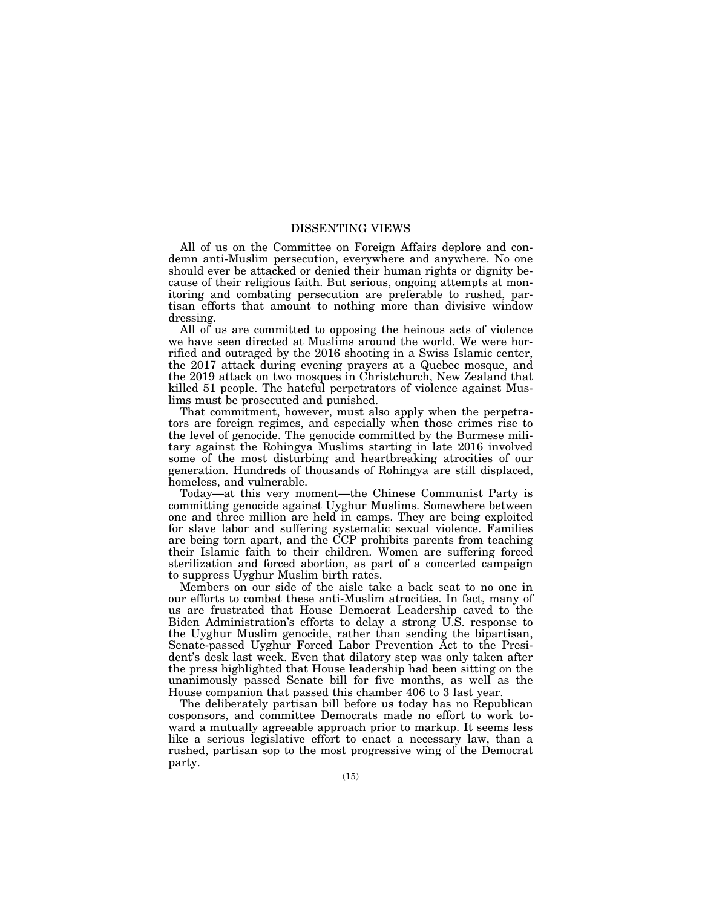## DISSENTING VIEWS

All of us on the Committee on Foreign Affairs deplore and condemn anti-Muslim persecution, everywhere and anywhere. No one should ever be attacked or denied their human rights or dignity because of their religious faith. But serious, ongoing attempts at monitoring and combating persecution are preferable to rushed, partisan efforts that amount to nothing more than divisive window dressing.

All of us are committed to opposing the heinous acts of violence we have seen directed at Muslims around the world. We were horrified and outraged by the 2016 shooting in a Swiss Islamic center, the 2017 attack during evening prayers at a Quebec mosque, and the 2019 attack on two mosques in Christchurch, New Zealand that killed 51 people. The hateful perpetrators of violence against Muslims must be prosecuted and punished.

That commitment, however, must also apply when the perpetrators are foreign regimes, and especially when those crimes rise to the level of genocide. The genocide committed by the Burmese military against the Rohingya Muslims starting in late 2016 involved some of the most disturbing and heartbreaking atrocities of our generation. Hundreds of thousands of Rohingya are still displaced, homeless, and vulnerable.

Today—at this very moment—the Chinese Communist Party is committing genocide against Uyghur Muslims. Somewhere between one and three million are held in camps. They are being exploited for slave labor and suffering systematic sexual violence. Families are being torn apart, and the CCP prohibits parents from teaching their Islamic faith to their children. Women are suffering forced sterilization and forced abortion, as part of a concerted campaign to suppress Uyghur Muslim birth rates.

Members on our side of the aisle take a back seat to no one in our efforts to combat these anti-Muslim atrocities. In fact, many of us are frustrated that House Democrat Leadership caved to the Biden Administration's efforts to delay a strong U.S. response to the Uyghur Muslim genocide, rather than sending the bipartisan, Senate-passed Uyghur Forced Labor Prevention Act to the President's desk last week. Even that dilatory step was only taken after the press highlighted that House leadership had been sitting on the unanimously passed Senate bill for five months, as well as the House companion that passed this chamber 406 to 3 last year.

The deliberately partisan bill before us today has no Republican cosponsors, and committee Democrats made no effort to work toward a mutually agreeable approach prior to markup. It seems less like a serious legislative effort to enact a necessary law, than a rushed, partisan sop to the most progressive wing of the Democrat party.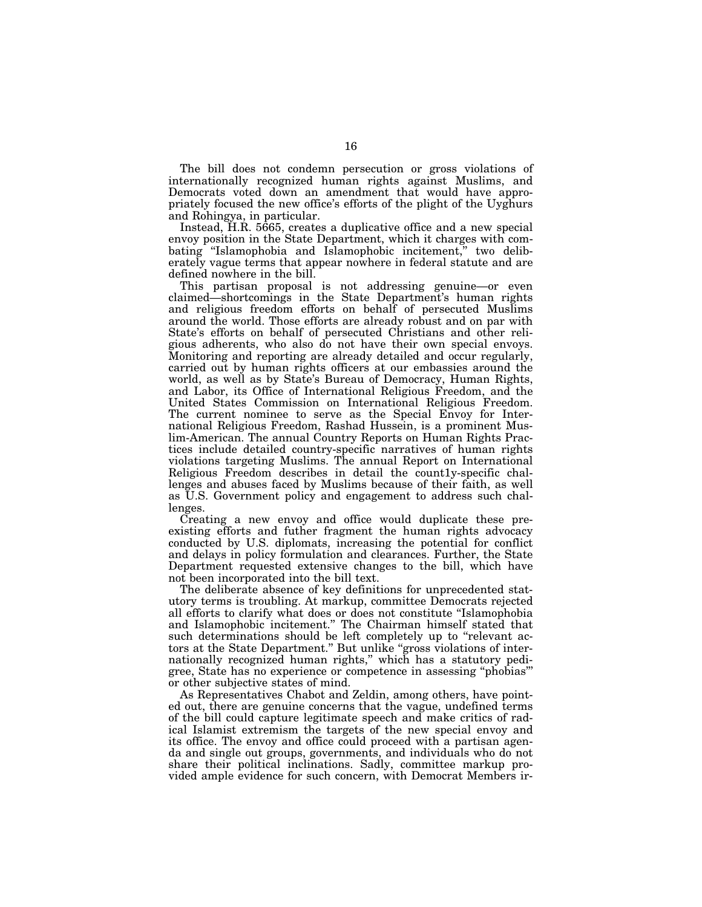The bill does not condemn persecution or gross violations of internationally recognized human rights against Muslims, and Democrats voted down an amendment that would have appropriately focused the new office's efforts of the plight of the Uyghurs and Rohingya, in particular.

Instead, H.R. 5665, creates a duplicative office and a new special envoy position in the State Department, which it charges with combating ''Islamophobia and Islamophobic incitement,'' two deliberately vague terms that appear nowhere in federal statute and are defined nowhere in the bill.

This partisan proposal is not addressing genuine—or even claimed—shortcomings in the State Department's human rights and religious freedom efforts on behalf of persecuted Muslims around the world. Those efforts are already robust and on par with State's efforts on behalf of persecuted Christians and other religious adherents, who also do not have their own special envoys. Monitoring and reporting are already detailed and occur regularly, carried out by human rights officers at our embassies around the world, as well as by State's Bureau of Democracy, Human Rights, and Labor, its Office of International Religious Freedom, and the United States Commission on International Religious Freedom. The current nominee to serve as the Special Envoy for International Religious Freedom, Rashad Hussein, is a prominent Muslim-American. The annual Country Reports on Human Rights Practices include detailed country-specific narratives of human rights violations targeting Muslims. The annual Report on International Religious Freedom describes in detail the count1y-specific challenges and abuses faced by Muslims because of their faith, as well as U.S. Government policy and engagement to address such challenges.

Creating a new envoy and office would duplicate these preexisting efforts and futher fragment the human rights advocacy conducted by U.S. diplomats, increasing the potential for conflict and delays in policy formulation and clearances. Further, the State Department requested extensive changes to the bill, which have not been incorporated into the bill text.

The deliberate absence of key definitions for unprecedented statutory terms is troubling. At markup, committee Democrats rejected all efforts to clarify what does or does not constitute ''Islamophobia and Islamophobic incitement.'' The Chairman himself stated that such determinations should be left completely up to "relevant actors at the State Department." But unlike "gross violations of internationally recognized human rights,'' which has a statutory pedigree, State has no experience or competence in assessing ''phobias''' or other subjective states of mind.

As Representatives Chabot and Zeldin, among others, have pointed out, there are genuine concerns that the vague, undefined terms of the bill could capture legitimate speech and make critics of radical Islamist extremism the targets of the new special envoy and its office. The envoy and office could proceed with a partisan agenda and single out groups, governments, and individuals who do not share their political inclinations. Sadly, committee markup provided ample evidence for such concern, with Democrat Members ir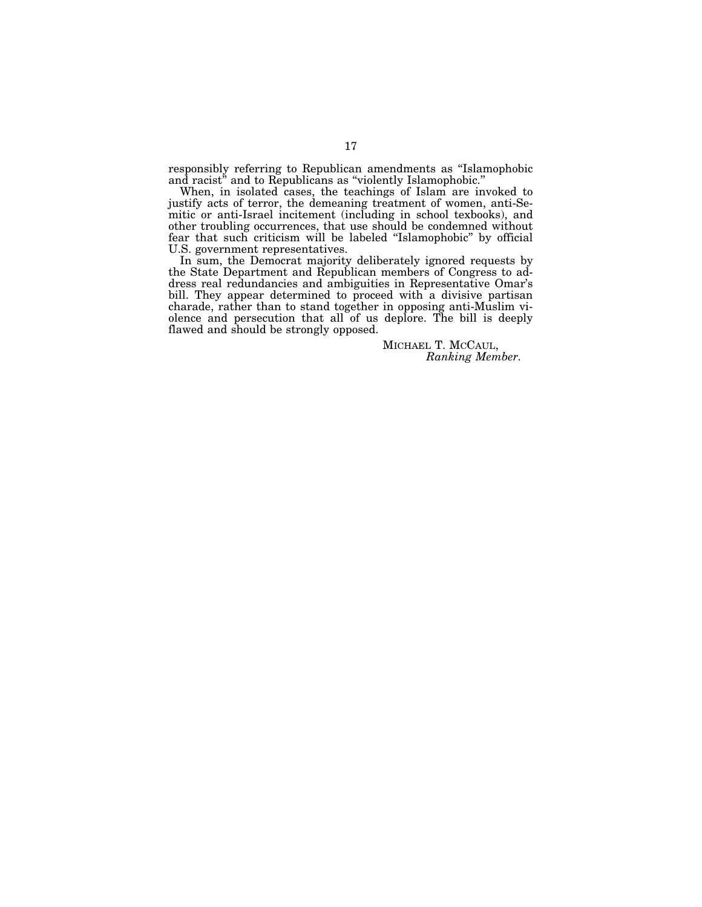responsibly referring to Republican amendments as ''Islamophobic and racist<sup>"</sup> and to Republicans as "violently Islamophobic."

When, in isolated cases, the teachings of Islam are invoked to justify acts of terror, the demeaning treatment of women, anti-Semitic or anti-Israel incitement (including in school texbooks), and other troubling occurrences, that use should be condemned without fear that such criticism will be labeled ''Islamophobic'' by official U.S. government representatives.

In sum, the Democrat majority deliberately ignored requests by the State Department and Republican members of Congress to address real redundancies and ambiguities in Representative Omar's bill. They appear determined to proceed with a divisive partisan charade, rather than to stand together in opposing anti-Muslim violence and persecution that all of us deplore. The bill is deeply flawed and should be strongly opposed.

> MICHAEL T. MCCAUL, *Ranking Member.*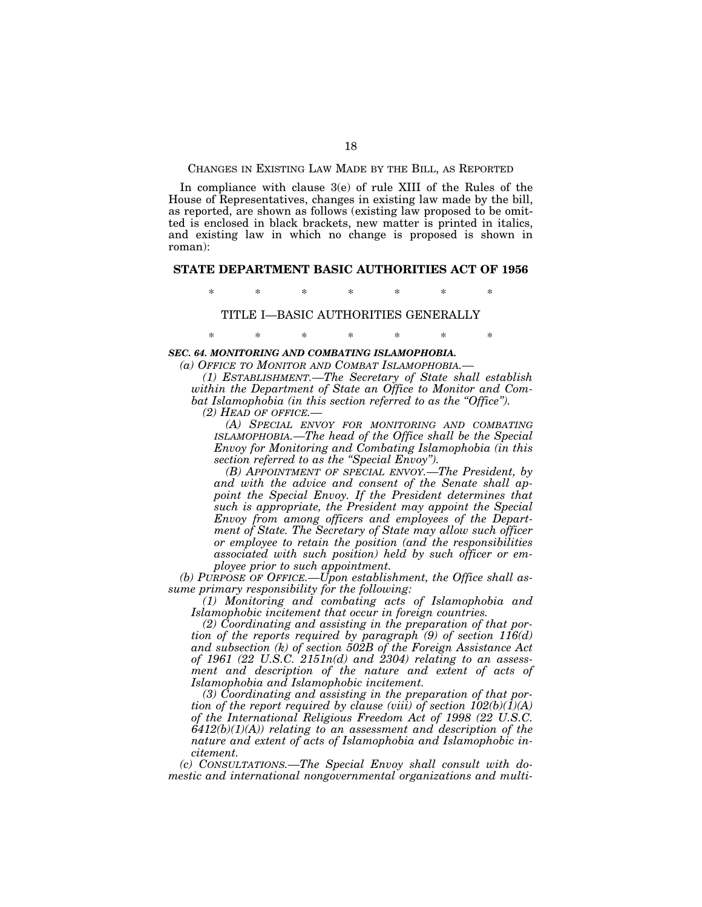CHANGES IN EXISTING LAW MADE BY THE BILL, AS REPORTED

In compliance with clause 3(e) of rule XIII of the Rules of the House of Representatives, changes in existing law made by the bill, as reported, are shown as follows (existing law proposed to be omitted is enclosed in black brackets, new matter is printed in italics, and existing law in which no change is proposed is shown in roman):

## **STATE DEPARTMENT BASIC AUTHORITIES ACT OF 1956**

\* \* \* \* \* \* \*

TITLE I—BASIC AUTHORITIES GENERALLY

\* \* \* \* \* \* \*

#### *SEC. 64. MONITORING AND COMBATING ISLAMOPHOBIA.*

*(a) OFFICE TO MONITOR AND COMBAT ISLAMOPHOBIA.—* 

*(1) ESTABLISHMENT.—The Secretary of State shall establish within the Department of State an Office to Monitor and Combat Islamophobia (in this section referred to as the ''Office'').* 

*(2) HEAD OF OFFICE.—* 

*(A) SPECIAL ENVOY FOR MONITORING AND COMBATING ISLAMOPHOBIA.—The head of the Office shall be the Special Envoy for Monitoring and Combating Islamophobia (in this section referred to as the ''Special Envoy'').* 

*(B) APPOINTMENT OF SPECIAL ENVOY.—The President, by and with the advice and consent of the Senate shall appoint the Special Envoy. If the President determines that such is appropriate, the President may appoint the Special Envoy from among officers and employees of the Department of State. The Secretary of State may allow such officer or employee to retain the position (and the responsibilities associated with such position) held by such officer or employee prior to such appointment.* 

*(b) PURPOSE OF OFFICE.—Upon establishment, the Office shall assume primary responsibility for the following:* 

*(1) Monitoring and combating acts of Islamophobia and Islamophobic incitement that occur in foreign countries.* 

*(2) Coordinating and assisting in the preparation of that portion of the reports required by paragraph (9) of section 116(d) and subsection (k) of section 502B of the Foreign Assistance Act of 1961 (22 U.S.C. 2151n(d) and 2304) relating to an assessment and description of the nature and extent of acts of Islamophobia and Islamophobic incitement.* 

*(3) Coordinating and assisting in the preparation of that portion of the report required by clause (viii) of section*  $102(b)(I)(A)$ *of the International Religious Freedom Act of 1998 (22 U.S.C. 6412(b)(1)(A)) relating to an assessment and description of the nature and extent of acts of Islamophobia and Islamophobic incitement.* 

*(c) CONSULTATIONS.—The Special Envoy shall consult with domestic and international nongovernmental organizations and multi-*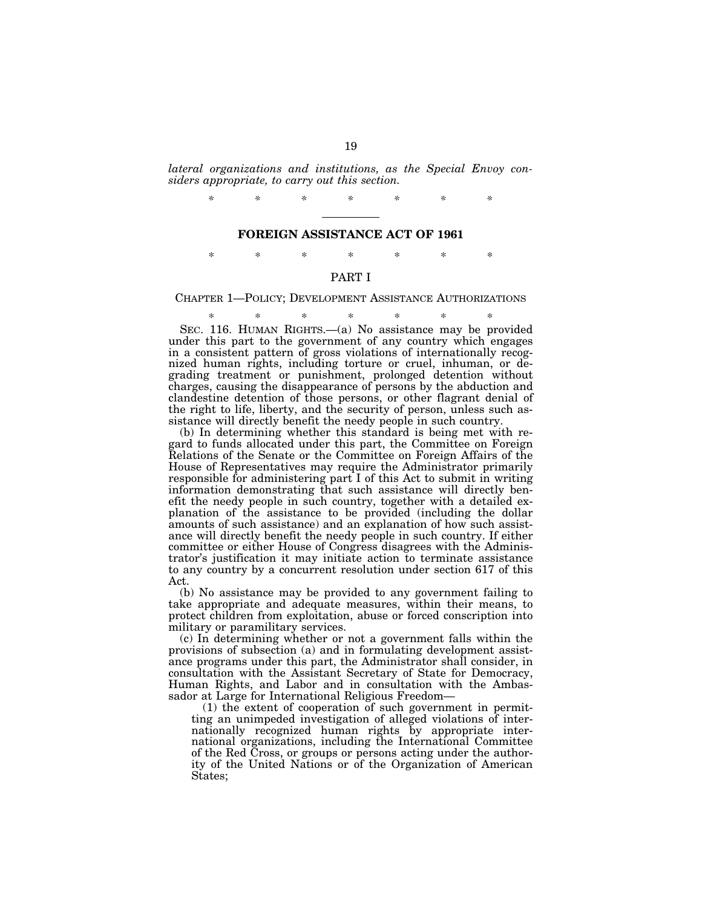*lateral organizations and institutions, as the Special Envoy considers appropriate, to carry out this section.* 

*\* \* \* \* \* \* \** 

#### **FOREIGN ASSISTANCE ACT OF 1961**

\* \* \* \* \* \* \*

## PART I

CHAPTER 1—POLICY; DEVELOPMENT ASSISTANCE AUTHORIZATIONS

\* \* \* \* \* \* \* SEC. 116. HUMAN RIGHTS.—(a) No assistance may be provided under this part to the government of any country which engages in a consistent pattern of gross violations of internationally recognized human rights, including torture or cruel, inhuman, or degrading treatment or punishment, prolonged detention without charges, causing the disappearance of persons by the abduction and clandestine detention of those persons, or other flagrant denial of the right to life, liberty, and the security of person, unless such assistance will directly benefit the needy people in such country.

(b) In determining whether this standard is being met with regard to funds allocated under this part, the Committee on Foreign Relations of the Senate or the Committee on Foreign Affairs of the House of Representatives may require the Administrator primarily responsible for administering part I of this Act to submit in writing information demonstrating that such assistance will directly benefit the needy people in such country, together with a detailed explanation of the assistance to be provided (including the dollar amounts of such assistance) and an explanation of how such assistance will directly benefit the needy people in such country. If either committee or either House of Congress disagrees with the Administrator's justification it may initiate action to terminate assistance to any country by a concurrent resolution under section 617 of this Act.

(b) No assistance may be provided to any government failing to take appropriate and adequate measures, within their means, to protect children from exploitation, abuse or forced conscription into military or paramilitary services.

(c) In determining whether or not a government falls within the provisions of subsection (a) and in formulating development assistance programs under this part, the Administrator shall consider, in consultation with the Assistant Secretary of State for Democracy, Human Rights, and Labor and in consultation with the Ambassador at Large for International Religious Freedom—

(1) the extent of cooperation of such government in permitting an unimpeded investigation of alleged violations of internationally recognized human rights by appropriate international organizations, including the International Committee of the Red Cross, or groups or persons acting under the authority of the United Nations or of the Organization of American States;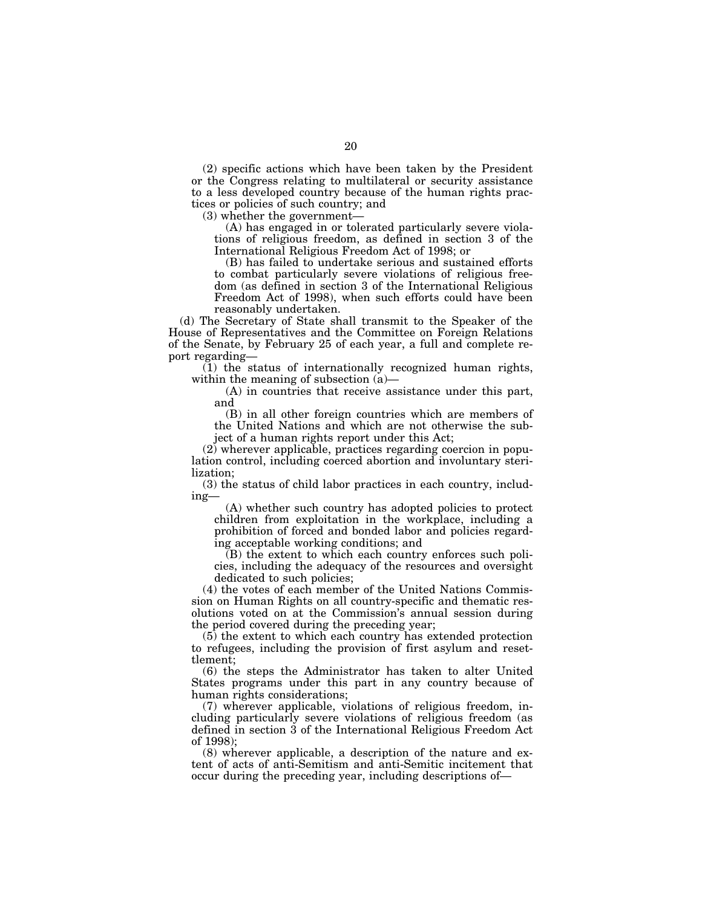(2) specific actions which have been taken by the President or the Congress relating to multilateral or security assistance to a less developed country because of the human rights practices or policies of such country; and

(3) whether the government—

(A) has engaged in or tolerated particularly severe violations of religious freedom, as defined in section 3 of the International Religious Freedom Act of 1998; or

(B) has failed to undertake serious and sustained efforts to combat particularly severe violations of religious freedom (as defined in section 3 of the International Religious Freedom Act of 1998), when such efforts could have been reasonably undertaken.

(d) The Secretary of State shall transmit to the Speaker of the House of Representatives and the Committee on Foreign Relations of the Senate, by February 25 of each year, a full and complete report regarding—

(1) the status of internationally recognized human rights, within the meaning of subsection (a)—

(A) in countries that receive assistance under this part, and

(B) in all other foreign countries which are members of the United Nations and which are not otherwise the subject of a human rights report under this Act;

(2) wherever applicable, practices regarding coercion in population control, including coerced abortion and involuntary sterilization;

(3) the status of child labor practices in each country, including—

(A) whether such country has adopted policies to protect children from exploitation in the workplace, including a prohibition of forced and bonded labor and policies regarding acceptable working conditions; and

(B) the extent to which each country enforces such policies, including the adequacy of the resources and oversight dedicated to such policies;

(4) the votes of each member of the United Nations Commission on Human Rights on all country-specific and thematic resolutions voted on at the Commission's annual session during the period covered during the preceding year;

 $(5)$  the extent to which each country has extended protection to refugees, including the provision of first asylum and resettlement;

(6) the steps the Administrator has taken to alter United States programs under this part in any country because of human rights considerations;

(7) wherever applicable, violations of religious freedom, including particularly severe violations of religious freedom (as defined in section 3 of the International Religious Freedom Act of 1998);

(8) wherever applicable, a description of the nature and extent of acts of anti-Semitism and anti-Semitic incitement that occur during the preceding year, including descriptions of—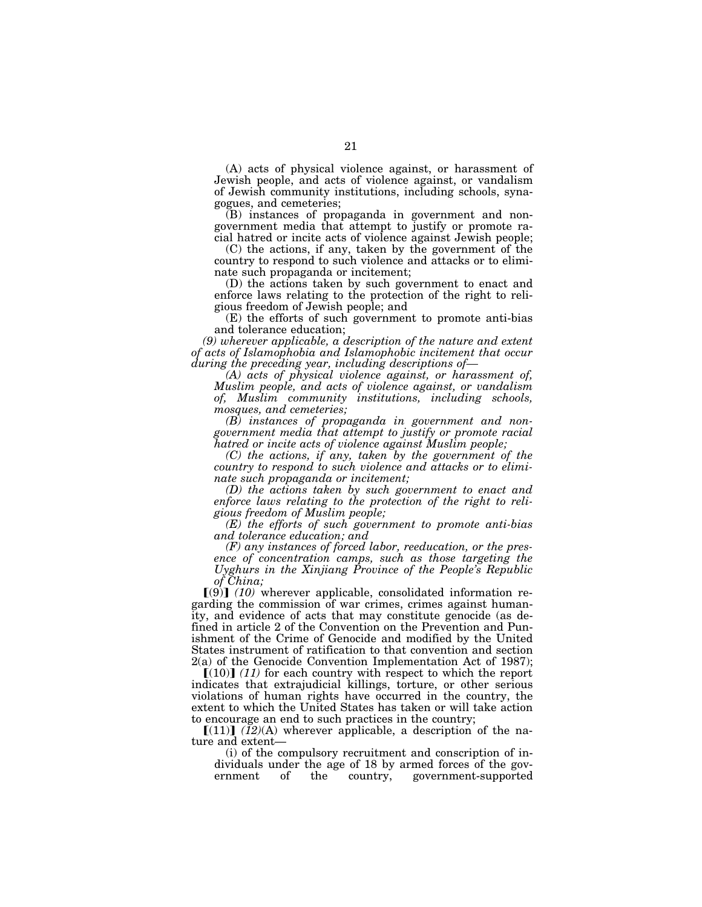(A) acts of physical violence against, or harassment of Jewish people, and acts of violence against, or vandalism of Jewish community institutions, including schools, synagogues, and cemeteries;

(B) instances of propaganda in government and nongovernment media that attempt to justify or promote racial hatred or incite acts of violence against Jewish people;

(C) the actions, if any, taken by the government of the country to respond to such violence and attacks or to eliminate such propaganda or incitement;

(D) the actions taken by such government to enact and enforce laws relating to the protection of the right to religious freedom of Jewish people; and

(E) the efforts of such government to promote anti-bias and tolerance education;

*(9) wherever applicable, a description of the nature and extent of acts of Islamophobia and Islamophobic incitement that occur during the preceding year, including descriptions of—* 

*(A) acts of physical violence against, or harassment of, Muslim people, and acts of violence against, or vandalism of, Muslim community institutions, including schools, mosques, and cemeteries;* 

*(B) instances of propaganda in government and nongovernment media that attempt to justify or promote racial hatred or incite acts of violence against Muslim people;* 

*(C) the actions, if any, taken by the government of the country to respond to such violence and attacks or to eliminate such propaganda or incitement;* 

*(D) the actions taken by such government to enact and enforce laws relating to the protection of the right to religious freedom of Muslim people;* 

*(E) the efforts of such government to promote anti-bias and tolerance education; and* 

*(F) any instances of forced labor, reeducation, or the presence of concentration camps, such as those targeting the Uyghurs in the Xinjiang Province of the People's Republic of China;* 

 $(9)$  (10) wherever applicable, consolidated information regarding the commission of war crimes, crimes against humanity, and evidence of acts that may constitute genocide (as defined in article 2 of the Convention on the Prevention and Punishment of the Crime of Genocide and modified by the United States instrument of ratification to that convention and section 2(a) of the Genocide Convention Implementation Act of 1987);

 $[(10)]$   $(11)$  for each country with respect to which the report indicates that extrajudicial killings, torture, or other serious violations of human rights have occurred in the country, the extent to which the United States has taken or will take action to encourage an end to such practices in the country;

 $[(11)]$   $(I2)(A)$  wherever applicable, a description of the nature and extent—

(i) of the compulsory recruitment and conscription of individuals under the age of 18 by armed forces of the government of the country, government-supported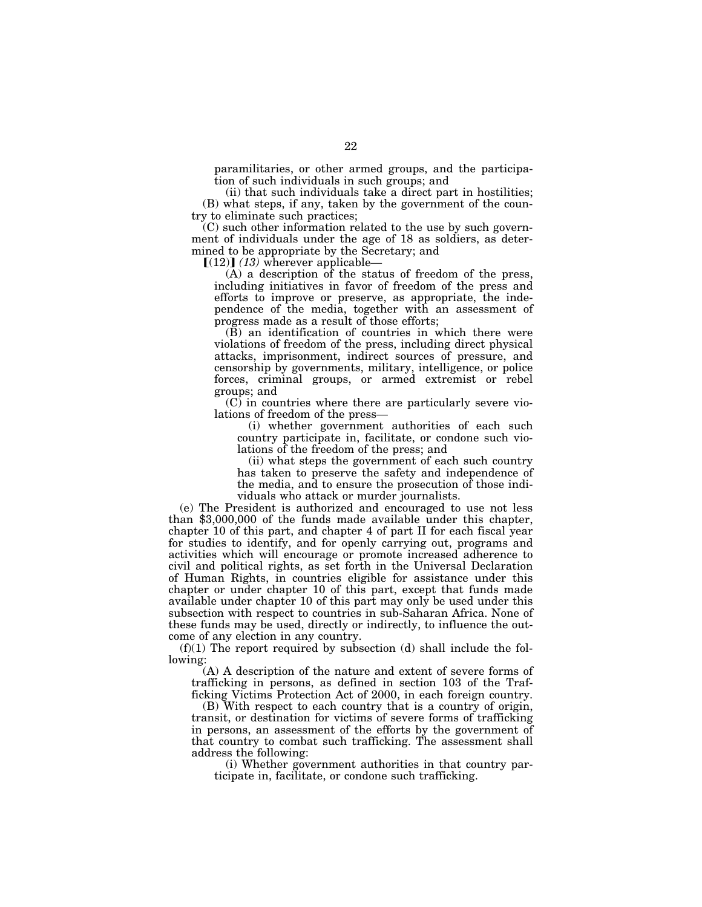paramilitaries, or other armed groups, and the participation of such individuals in such groups; and

(ii) that such individuals take a direct part in hostilities; (B) what steps, if any, taken by the government of the country to eliminate such practices;

(C) such other information related to the use by such government of individuals under the age of 18 as soldiers, as determined to be appropriate by the Secretary; and

 $\llbracket (12) \rrbracket$  *(13)* wherever applicable-

(A) a description of the status of freedom of the press, including initiatives in favor of freedom of the press and efforts to improve or preserve, as appropriate, the independence of the media, together with an assessment of progress made as a result of those efforts;

 $(\overrightarrow{B})$  an identification of countries in which there were violations of freedom of the press, including direct physical attacks, imprisonment, indirect sources of pressure, and censorship by governments, military, intelligence, or police forces, criminal groups, or armed extremist or rebel groups; and

 $(C)$  in countries where there are particularly severe violations of freedom of the press—

(i) whether government authorities of each such country participate in, facilitate, or condone such violations of the freedom of the press; and

(ii) what steps the government of each such country has taken to preserve the safety and independence of the media, and to ensure the prosecution of those individuals who attack or murder journalists.

(e) The President is authorized and encouraged to use not less than \$3,000,000 of the funds made available under this chapter, chapter 10 of this part, and chapter 4 of part II for each fiscal year for studies to identify, and for openly carrying out, programs and activities which will encourage or promote increased adherence to civil and political rights, as set forth in the Universal Declaration of Human Rights, in countries eligible for assistance under this chapter or under chapter 10 of this part, except that funds made available under chapter 10 of this part may only be used under this subsection with respect to countries in sub-Saharan Africa. None of these funds may be used, directly or indirectly, to influence the outcome of any election in any country.

 $(f)(1)$  The report required by subsection (d) shall include the following:

(A) A description of the nature and extent of severe forms of trafficking in persons, as defined in section 103 of the Trafficking Victims Protection Act of 2000, in each foreign country.

(B) With respect to each country that is a country of origin, transit, or destination for victims of severe forms of trafficking in persons, an assessment of the efforts by the government of that country to combat such trafficking. The assessment shall address the following:

(i) Whether government authorities in that country participate in, facilitate, or condone such trafficking.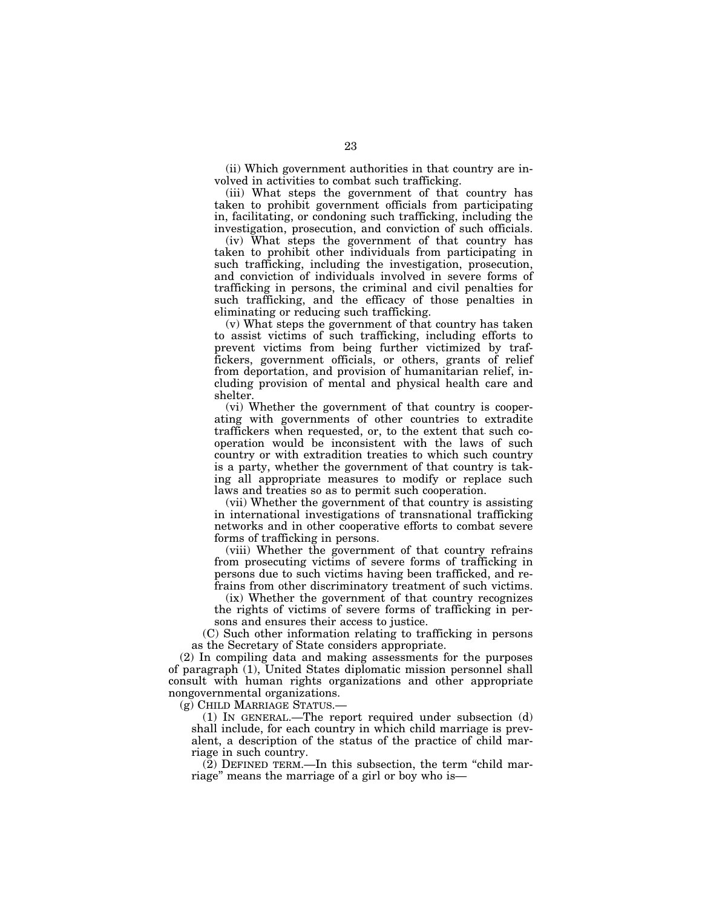(ii) Which government authorities in that country are involved in activities to combat such trafficking.

(iii) What steps the government of that country has taken to prohibit government officials from participating in, facilitating, or condoning such trafficking, including the investigation, prosecution, and conviction of such officials.

(iv) What steps the government of that country has taken to prohibit other individuals from participating in such trafficking, including the investigation, prosecution, and conviction of individuals involved in severe forms of trafficking in persons, the criminal and civil penalties for such trafficking, and the efficacy of those penalties in eliminating or reducing such trafficking.

(v) What steps the government of that country has taken to assist victims of such trafficking, including efforts to prevent victims from being further victimized by traffickers, government officials, or others, grants of relief from deportation, and provision of humanitarian relief, including provision of mental and physical health care and shelter.

(vi) Whether the government of that country is cooperating with governments of other countries to extradite traffickers when requested, or, to the extent that such cooperation would be inconsistent with the laws of such country or with extradition treaties to which such country is a party, whether the government of that country is taking all appropriate measures to modify or replace such laws and treaties so as to permit such cooperation.

(vii) Whether the government of that country is assisting in international investigations of transnational trafficking networks and in other cooperative efforts to combat severe forms of trafficking in persons.

(viii) Whether the government of that country refrains from prosecuting victims of severe forms of trafficking in persons due to such victims having been trafficked, and refrains from other discriminatory treatment of such victims.

(ix) Whether the government of that country recognizes the rights of victims of severe forms of trafficking in persons and ensures their access to justice.

(C) Such other information relating to trafficking in persons as the Secretary of State considers appropriate.

(2) In compiling data and making assessments for the purposes of paragraph (1), United States diplomatic mission personnel shall consult with human rights organizations and other appropriate nongovernmental organizations.

(g) CHILD MARRIAGE STATUS.—

(1) IN GENERAL.—The report required under subsection (d) shall include, for each country in which child marriage is prevalent, a description of the status of the practice of child marriage in such country.

(2) DEFINED TERM.—In this subsection, the term ''child marriage'' means the marriage of a girl or boy who is—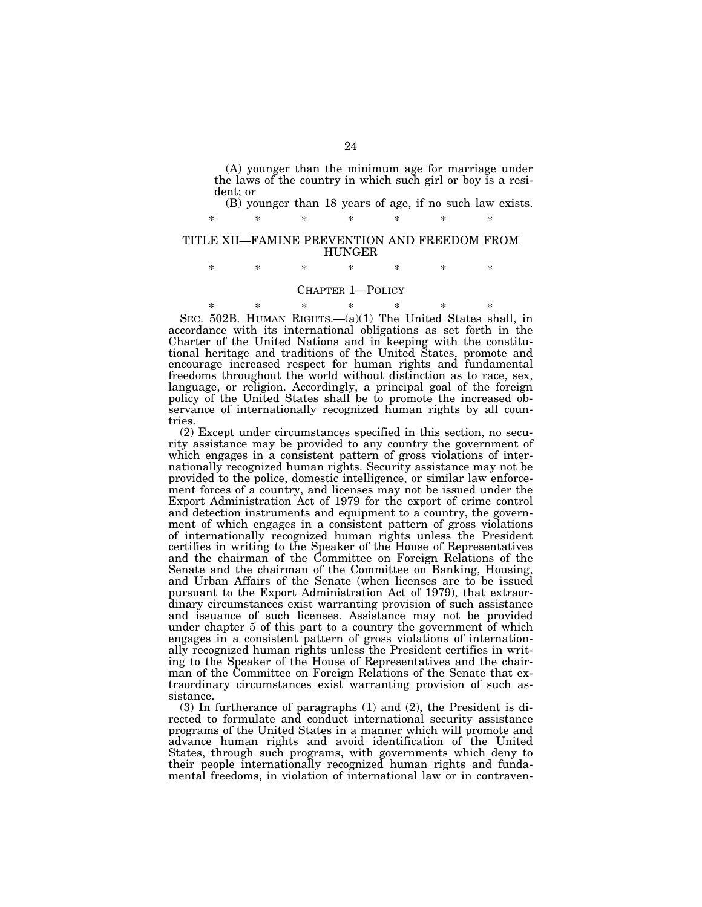(A) younger than the minimum age for marriage under the laws of the country in which such girl or boy is a resident; or

(B) younger than 18 years of age, if no such law exists.

#### TITLE XII—FAMINE PREVENTION AND FREEDOM FROM HUNGER

\* \* \* \* \* \* \*

\* \* \* \* \* \* \*

## CHAPTER 1—POLICY

\* \* \* \* \* \* \* SEC. 502B. HUMAN RIGHTS.—(a)(1) The United States shall, in accordance with its international obligations as set forth in the Charter of the United Nations and in keeping with the constitutional heritage and traditions of the United States, promote and encourage increased respect for human rights and fundamental freedoms throughout the world without distinction as to race, sex, language, or religion. Accordingly, a principal goal of the foreign policy of the United States shall be to promote the increased observance of internationally recognized human rights by all countries.

(2) Except under circumstances specified in this section, no security assistance may be provided to any country the government of which engages in a consistent pattern of gross violations of internationally recognized human rights. Security assistance may not be provided to the police, domestic intelligence, or similar law enforcement forces of a country, and licenses may not be issued under the Export Administration Act of 1979 for the export of crime control and detection instruments and equipment to a country, the government of which engages in a consistent pattern of gross violations of internationally recognized human rights unless the President certifies in writing to the Speaker of the House of Representatives and the chairman of the Committee on Foreign Relations of the Senate and the chairman of the Committee on Banking, Housing, and Urban Affairs of the Senate (when licenses are to be issued pursuant to the Export Administration Act of 1979), that extraordinary circumstances exist warranting provision of such assistance and issuance of such licenses. Assistance may not be provided under chapter 5 of this part to a country the government of which engages in a consistent pattern of gross violations of internationally recognized human rights unless the President certifies in writing to the Speaker of the House of Representatives and the chairman of the Committee on Foreign Relations of the Senate that extraordinary circumstances exist warranting provision of such assistance.

(3) In furtherance of paragraphs (1) and (2), the President is directed to formulate and conduct international security assistance programs of the United States in a manner which will promote and advance human rights and avoid identification of the United States, through such programs, with governments which deny to their people internationally recognized human rights and fundamental freedoms, in violation of international law or in contraven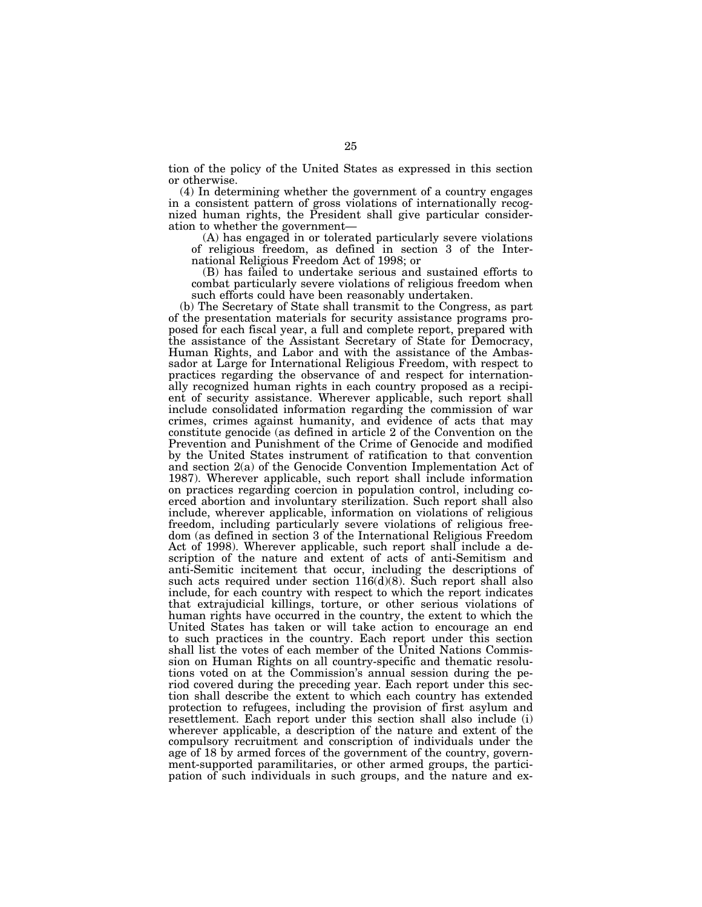tion of the policy of the United States as expressed in this section or otherwise.

(4) In determining whether the government of a country engages in a consistent pattern of gross violations of internationally recognized human rights, the President shall give particular consideration to whether the government—

(A) has engaged in or tolerated particularly severe violations of religious freedom, as defined in section 3 of the International Religious Freedom Act of 1998; or

(B) has failed to undertake serious and sustained efforts to combat particularly severe violations of religious freedom when such efforts could have been reasonably undertaken.

(b) The Secretary of State shall transmit to the Congress, as part of the presentation materials for security assistance programs proposed for each fiscal year, a full and complete report, prepared with the assistance of the Assistant Secretary of State for Democracy, Human Rights, and Labor and with the assistance of the Ambassador at Large for International Religious Freedom, with respect to practices regarding the observance of and respect for internationally recognized human rights in each country proposed as a recipient of security assistance. Wherever applicable, such report shall include consolidated information regarding the commission of war crimes, crimes against humanity, and evidence of acts that may constitute genocide (as defined in article 2 of the Convention on the Prevention and Punishment of the Crime of Genocide and modified by the United States instrument of ratification to that convention and section 2(a) of the Genocide Convention Implementation Act of 1987). Wherever applicable, such report shall include information on practices regarding coercion in population control, including coerced abortion and involuntary sterilization. Such report shall also include, wherever applicable, information on violations of religious freedom, including particularly severe violations of religious freedom (as defined in section 3 of the International Religious Freedom Act of 1998). Wherever applicable, such report shall include a description of the nature and extent of acts of anti-Semitism and anti-Semitic incitement that occur, including the descriptions of such acts required under section  $116(d)(8)$ . Such report shall also include, for each country with respect to which the report indicates that extrajudicial killings, torture, or other serious violations of human rights have occurred in the country, the extent to which the United States has taken or will take action to encourage an end to such practices in the country. Each report under this section shall list the votes of each member of the United Nations Commission on Human Rights on all country-specific and thematic resolutions voted on at the Commission's annual session during the period covered during the preceding year. Each report under this section shall describe the extent to which each country has extended protection to refugees, including the provision of first asylum and resettlement. Each report under this section shall also include (i) wherever applicable, a description of the nature and extent of the compulsory recruitment and conscription of individuals under the age of 18 by armed forces of the government of the country, government-supported paramilitaries, or other armed groups, the participation of such individuals in such groups, and the nature and ex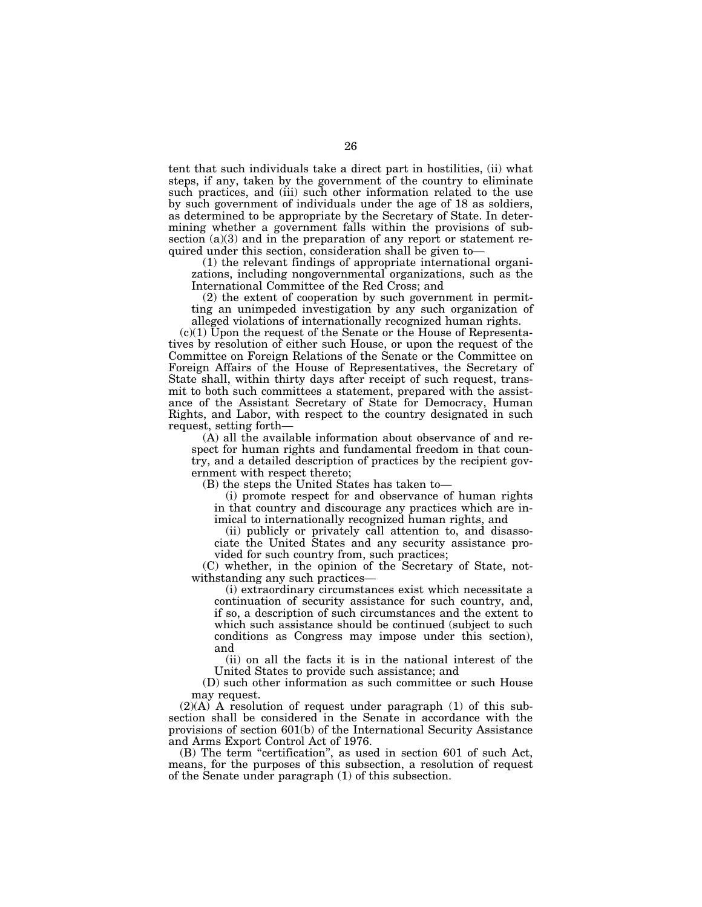tent that such individuals take a direct part in hostilities, (ii) what steps, if any, taken by the government of the country to eliminate such practices, and (iii) such other information related to the use by such government of individuals under the age of 18 as soldiers, as determined to be appropriate by the Secretary of State. In determining whether a government falls within the provisions of subsection (a)(3) and in the preparation of any report or statement required under this section, consideration shall be given to—

(1) the relevant findings of appropriate international organizations, including nongovernmental organizations, such as the International Committee of the Red Cross; and

(2) the extent of cooperation by such government in permitting an unimpeded investigation by any such organization of alleged violations of internationally recognized human rights.

(c)(1) Upon the request of the Senate or the House of Representatives by resolution of either such House, or upon the request of the Committee on Foreign Relations of the Senate or the Committee on Foreign Affairs of the House of Representatives, the Secretary of State shall, within thirty days after receipt of such request, transmit to both such committees a statement, prepared with the assistance of the Assistant Secretary of State for Democracy, Human Rights, and Labor, with respect to the country designated in such request, setting forth—

(A) all the available information about observance of and respect for human rights and fundamental freedom in that country, and a detailed description of practices by the recipient government with respect thereto;

(B) the steps the United States has taken to—

(i) promote respect for and observance of human rights in that country and discourage any practices which are inimical to internationally recognized human rights, and

(ii) publicly or privately call attention to, and disassociate the United States and any security assistance provided for such country from, such practices;

(C) whether, in the opinion of the Secretary of State, notwithstanding any such practices—

(i) extraordinary circumstances exist which necessitate a continuation of security assistance for such country, and, if so, a description of such circumstances and the extent to which such assistance should be continued (subject to such conditions as Congress may impose under this section), and

(ii) on all the facts it is in the national interest of the United States to provide such assistance; and

(D) such other information as such committee or such House may request.

 $(2)(A)$  A resolution of request under paragraph  $(1)$  of this subsection shall be considered in the Senate in accordance with the provisions of section 601(b) of the International Security Assistance and Arms Export Control Act of 1976.

(B) The term "certification", as used in section 601 of such Act, means, for the purposes of this subsection, a resolution of request of the Senate under paragraph (1) of this subsection.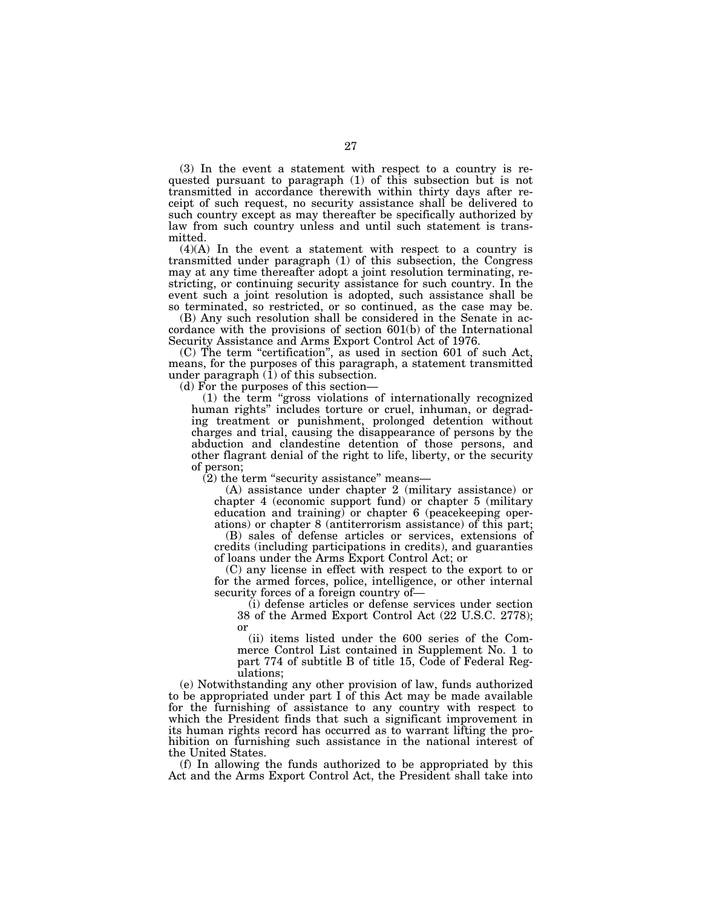(3) In the event a statement with respect to a country is requested pursuant to paragraph (1) of this subsection but is not transmitted in accordance therewith within thirty days after receipt of such request, no security assistance shall be delivered to such country except as may thereafter be specifically authorized by law from such country unless and until such statement is transmitted.

(4)(A) In the event a statement with respect to a country is transmitted under paragraph (1) of this subsection, the Congress may at any time thereafter adopt a joint resolution terminating, restricting, or continuing security assistance for such country. In the event such a joint resolution is adopted, such assistance shall be so terminated, so restricted, or so continued, as the case may be.

(B) Any such resolution shall be considered in the Senate in accordance with the provisions of section 601(b) of the International Security Assistance and Arms Export Control Act of 1976.

(C) The term ''certification'', as used in section 601 of such Act, means, for the purposes of this paragraph, a statement transmitted under paragraph  $(1)$  of this subsection.

(d) For the purposes of this section—

(1) the term ''gross violations of internationally recognized human rights'' includes torture or cruel, inhuman, or degrading treatment or punishment, prolonged detention without charges and trial, causing the disappearance of persons by the abduction and clandestine detention of those persons, and other flagrant denial of the right to life, liberty, or the security of person;

 $(2)$  the term "security assistance" means—

(A) assistance under chapter 2 (military assistance) or chapter 4 (economic support fund) or chapter 5 (military education and training) or chapter 6 (peacekeeping operations) or chapter 8 (antiterrorism assistance) of this part;

(B) sales of defense articles or services, extensions of credits (including participations in credits), and guaranties of loans under the Arms Export Control Act; or

(C) any license in effect with respect to the export to or for the armed forces, police, intelligence, or other internal security forces of a foreign country of—

(i) defense articles or defense services under section 38 of the Armed Export Control Act (22 U.S.C. 2778); or

(ii) items listed under the 600 series of the Commerce Control List contained in Supplement No. 1 to part 774 of subtitle B of title 15, Code of Federal Regulations;

(e) Notwithstanding any other provision of law, funds authorized to be appropriated under part I of this Act may be made available for the furnishing of assistance to any country with respect to which the President finds that such a significant improvement in its human rights record has occurred as to warrant lifting the prohibition on furnishing such assistance in the national interest of the United States.

(f) In allowing the funds authorized to be appropriated by this Act and the Arms Export Control Act, the President shall take into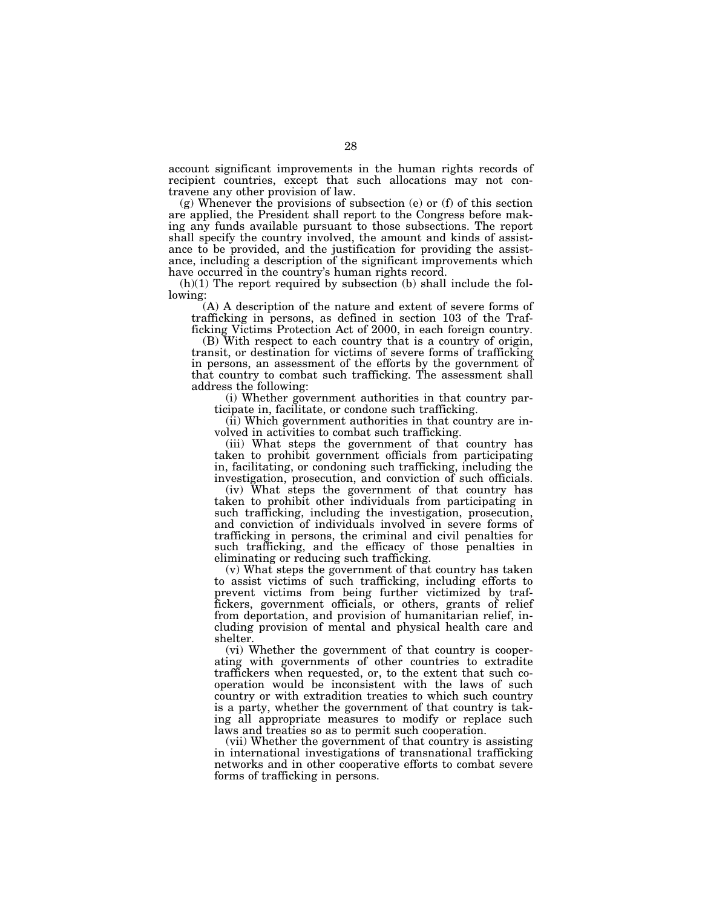account significant improvements in the human rights records of recipient countries, except that such allocations may not contravene any other provision of law.

(g) Whenever the provisions of subsection (e) or (f) of this section are applied, the President shall report to the Congress before making any funds available pursuant to those subsections. The report shall specify the country involved, the amount and kinds of assistance to be provided, and the justification for providing the assistance, including a description of the significant improvements which have occurred in the country's human rights record.

(h)(1) The report required by subsection (b) shall include the following:

(A) A description of the nature and extent of severe forms of trafficking in persons, as defined in section 103 of the Trafficking Victims Protection Act of 2000, in each foreign country.

(B) With respect to each country that is a country of origin, transit, or destination for victims of severe forms of trafficking in persons, an assessment of the efforts by the government of that country to combat such trafficking. The assessment shall address the following:

(i) Whether government authorities in that country participate in, facilitate, or condone such trafficking.

(ii) Which government authorities in that country are involved in activities to combat such trafficking.

(iii) What steps the government of that country has taken to prohibit government officials from participating in, facilitating, or condoning such trafficking, including the investigation, prosecution, and conviction of such officials.

(iv) What steps the government of that country has taken to prohibit other individuals from participating in such trafficking, including the investigation, prosecution, and conviction of individuals involved in severe forms of trafficking in persons, the criminal and civil penalties for such trafficking, and the efficacy of those penalties in eliminating or reducing such trafficking.

(v) What steps the government of that country has taken to assist victims of such trafficking, including efforts to prevent victims from being further victimized by traffickers, government officials, or others, grants of relief from deportation, and provision of humanitarian relief, including provision of mental and physical health care and shelter.

(vi) Whether the government of that country is cooperating with governments of other countries to extradite traffickers when requested, or, to the extent that such cooperation would be inconsistent with the laws of such country or with extradition treaties to which such country is a party, whether the government of that country is taking all appropriate measures to modify or replace such laws and treaties so as to permit such cooperation.

(vii) Whether the government of that country is assisting in international investigations of transnational trafficking networks and in other cooperative efforts to combat severe forms of trafficking in persons.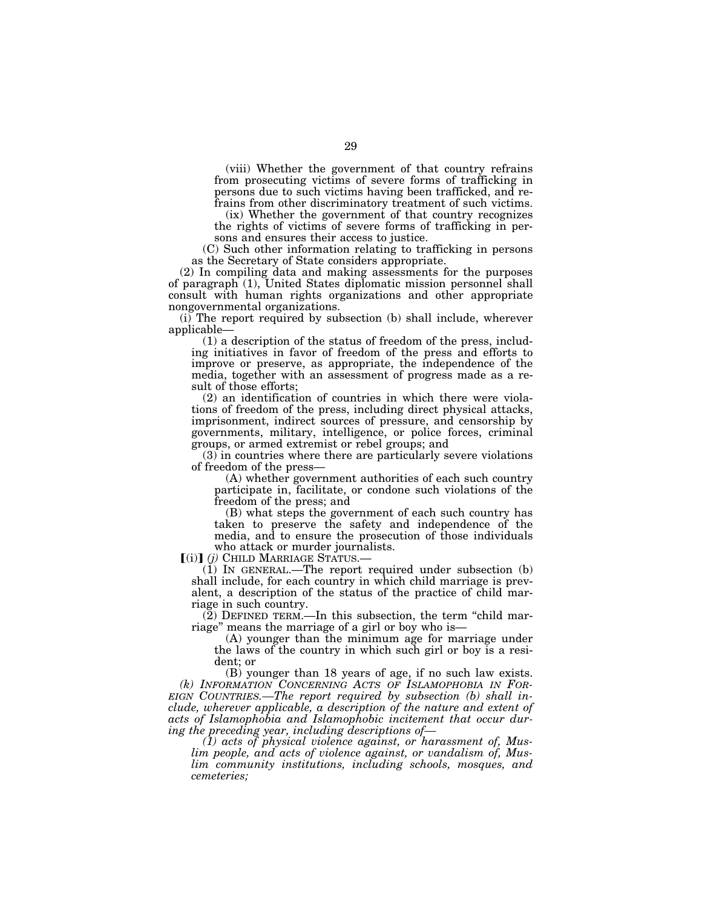(viii) Whether the government of that country refrains from prosecuting victims of severe forms of trafficking in persons due to such victims having been trafficked, and refrains from other discriminatory treatment of such victims.

(ix) Whether the government of that country recognizes the rights of victims of severe forms of trafficking in persons and ensures their access to justice.

(C) Such other information relating to trafficking in persons as the Secretary of State considers appropriate.

(2) In compiling data and making assessments for the purposes of paragraph (1), United States diplomatic mission personnel shall consult with human rights organizations and other appropriate nongovernmental organizations.

(i) The report required by subsection (b) shall include, wherever applicable—

(1) a description of the status of freedom of the press, including initiatives in favor of freedom of the press and efforts to improve or preserve, as appropriate, the independence of the media, together with an assessment of progress made as a result of those efforts;

(2) an identification of countries in which there were violations of freedom of the press, including direct physical attacks, imprisonment, indirect sources of pressure, and censorship by governments, military, intelligence, or police forces, criminal groups, or armed extremist or rebel groups; and

(3) in countries where there are particularly severe violations of freedom of the press—

(A) whether government authorities of each such country participate in, facilitate, or condone such violations of the freedom of the press; and

(B) what steps the government of each such country has taken to preserve the safety and independence of the media, and to ensure the prosecution of those individuals who attack or murder journalists.<br>  $[(i)]$  (*j*) CHILD MARRIAGE STATUS.

(1) In GENERAL.—The report required under subsection (b) shall include, for each country in which child marriage is prevalent, a description of the status of the practice of child marriage in such country.

 $(2)$  DEFINED TERM.—In this subsection, the term "child marriage'' means the marriage of a girl or boy who is—

(A) younger than the minimum age for marriage under the laws of the country in which such girl or boy is a resident; or

(B) younger than 18 years of age, if no such law exists. *(k) INFORMATION CONCERNING ACTS OF ISLAMOPHOBIA IN FOR-EIGN COUNTRIES.—The report required by subsection (b) shall include, wherever applicable, a description of the nature and extent of acts of Islamophobia and Islamophobic incitement that occur during the preceding year, including descriptions of—* 

*(1) acts of physical violence against, or harassment of, Muslim people, and acts of violence against, or vandalism of, Muslim community institutions, including schools, mosques, and cemeteries;*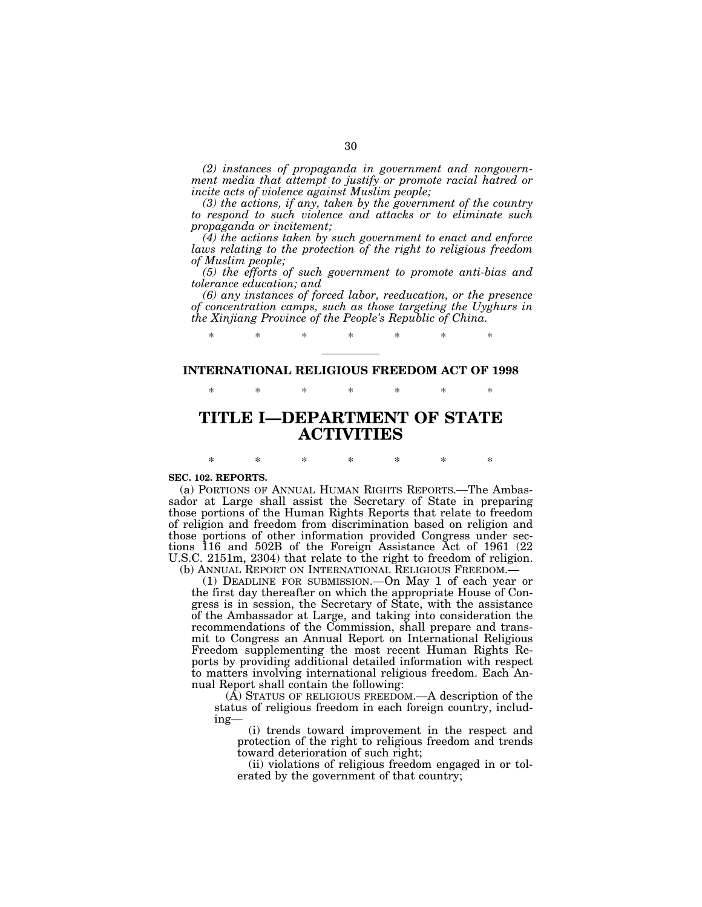*(2) instances of propaganda in government and nongovernment media that attempt to justify or promote racial hatred or incite acts of violence against Muslim people;* 

*(3) the actions, if any, taken by the government of the country to respond to such violence and attacks or to eliminate such propaganda or incitement;* 

*(4) the actions taken by such government to enact and enforce laws relating to the protection of the right to religious freedom of Muslim people;* 

*(5) the efforts of such government to promote anti-bias and tolerance education; and* 

*(6) any instances of forced labor, reeducation, or the presence of concentration camps, such as those targeting the Uyghurs in the Xinjiang Province of the People's Republic of China.* 

# **INTERNATIONAL RELIGIOUS FREEDOM ACT OF 1998**  \* \* \* \* \* \* \*

\* \* \* \* \* \* \*

# **TITLE I—DEPARTMENT OF STATE ACTIVITIES**

## \* \* \* \* \* \* \* **SEC. 102. REPORTS.**

(a) PORTIONS OF ANNUAL HUMAN RIGHTS REPORTS.—The Ambassador at Large shall assist the Secretary of State in preparing those portions of the Human Rights Reports that relate to freedom of religion and freedom from discrimination based on religion and those portions of other information provided Congress under sections 116 and 502B of the Foreign Assistance Act of 1961 (22 U.S.C. 2151m, 2304) that relate to the right to freedom of religion.

(b) ANNUAL REPORT ON INTERNATIONAL RELIGIOUS FREEDOM.— (1) DEADLINE FOR SUBMISSION.—On May 1 of each year or the first day thereafter on which the appropriate House of Congress is in session, the Secretary of State, with the assistance of the Ambassador at Large, and taking into consideration the recommendations of the Commission, shall prepare and transmit to Congress an Annual Report on International Religious Freedom supplementing the most recent Human Rights Reports by providing additional detailed information with respect to matters involving international religious freedom. Each Annual Report shall contain the following:

(A) STATUS OF RELIGIOUS FREEDOM.—A description of the status of religious freedom in each foreign country, including—

(i) trends toward improvement in the respect and protection of the right to religious freedom and trends toward deterioration of such right;

(ii) violations of religious freedom engaged in or tolerated by the government of that country;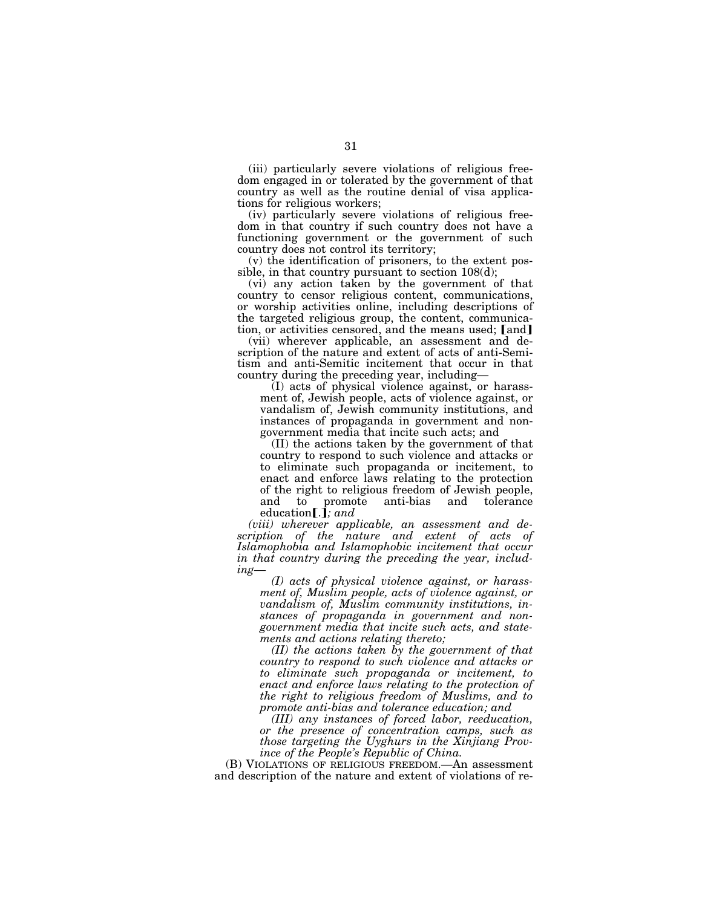(iii) particularly severe violations of religious freedom engaged in or tolerated by the government of that country as well as the routine denial of visa applications for religious workers;

(iv) particularly severe violations of religious freedom in that country if such country does not have a functioning government or the government of such country does not control its territory;

(v) the identification of prisoners, to the extent possible, in that country pursuant to section 108(d);

(vi) any action taken by the government of that country to censor religious content, communications, or worship activities online, including descriptions of the targeted religious group, the content, communication, or activities censored, and the means used; [and]

(vii) wherever applicable, an assessment and description of the nature and extent of acts of anti-Semitism and anti-Semitic incitement that occur in that country during the preceding year, including—

(I) acts of physical violence against, or harassment of, Jewish people, acts of violence against, or vandalism of, Jewish community institutions, and instances of propaganda in government and nongovernment media that incite such acts; and

(II) the actions taken by the government of that country to respond to such violence and attacks or to eliminate such propaganda or incitement, to enact and enforce laws relating to the protection of the right to religious freedom of Jewish people, and to promote anti-bias and tolerance education [.]; and

*(viii) wherever applicable, an assessment and description of the nature and extent of acts of Islamophobia and Islamophobic incitement that occur in that country during the preceding the year, including—* 

*(I) acts of physical violence against, or harassment of, Muslim people, acts of violence against, or vandalism of, Muslim community institutions, instances of propaganda in government and nongovernment media that incite such acts, and statements and actions relating thereto;* 

*(II) the actions taken by the government of that country to respond to such violence and attacks or to eliminate such propaganda or incitement, to enact and enforce laws relating to the protection of the right to religious freedom of Muslims, and to promote anti-bias and tolerance education; and* 

*(III) any instances of forced labor, reeducation, or the presence of concentration camps, such as those targeting the Uyghurs in the Xinjiang Province of the People's Republic of China.* 

(B) VIOLATIONS OF RELIGIOUS FREEDOM. An assessment and description of the nature and extent of violations of re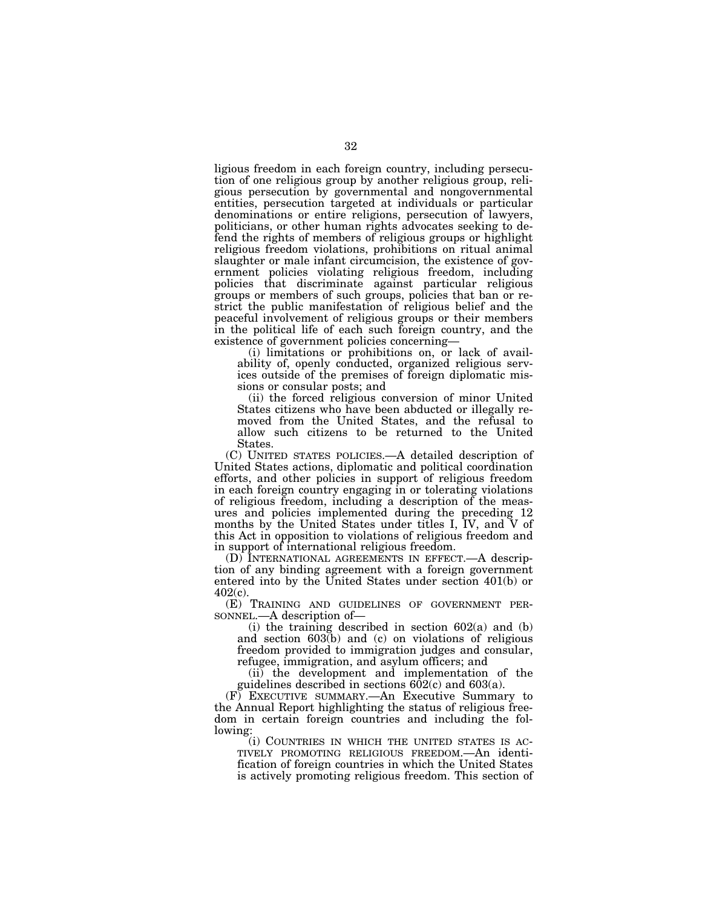ligious freedom in each foreign country, including persecution of one religious group by another religious group, religious persecution by governmental and nongovernmental entities, persecution targeted at individuals or particular denominations or entire religions, persecution of lawyers, politicians, or other human rights advocates seeking to defend the rights of members of religious groups or highlight religious freedom violations, prohibitions on ritual animal slaughter or male infant circumcision, the existence of government policies violating religious freedom, including policies that discriminate against particular religious groups or members of such groups, policies that ban or restrict the public manifestation of religious belief and the peaceful involvement of religious groups or their members in the political life of each such foreign country, and the existence of government policies concerning—

(i) limitations or prohibitions on, or lack of availability of, openly conducted, organized religious services outside of the premises of foreign diplomatic missions or consular posts; and

(ii) the forced religious conversion of minor United States citizens who have been abducted or illegally removed from the United States, and the refusal to allow such citizens to be returned to the United States.

(C) UNITED STATES POLICIES.—A detailed description of United States actions, diplomatic and political coordination efforts, and other policies in support of religious freedom in each foreign country engaging in or tolerating violations of religious freedom, including a description of the measures and policies implemented during the preceding 12 months by the United States under titles I, IV, and V of this Act in opposition to violations of religious freedom and in support of international religious freedom.

(D) INTERNATIONAL AGREEMENTS IN EFFECT.—A description of any binding agreement with a foreign government entered into by the United States under section 401(b) or 402(c).

(E) TRAINING AND GUIDELINES OF GOVERNMENT PERSONNEL.—A description of—

(i) the training described in section  $602(a)$  and (b) and section 603(b) and (c) on violations of religious freedom provided to immigration judges and consular, refugee, immigration, and asylum officers; and

(ii) the development and implementation of the guidelines described in sections  $602(c)$  and  $603(a)$ .

(F) EXECUTIVE SUMMARY.—An Executive Summary to the Annual Report highlighting the status of religious freedom in certain foreign countries and including the following:<br>(i) COUNTRIES IN WHICH THE UNITED STATES IS AC-

TIVELY PROMOTING RELIGIOUS FREEDOM.—An identification of foreign countries in which the United States is actively promoting religious freedom. This section of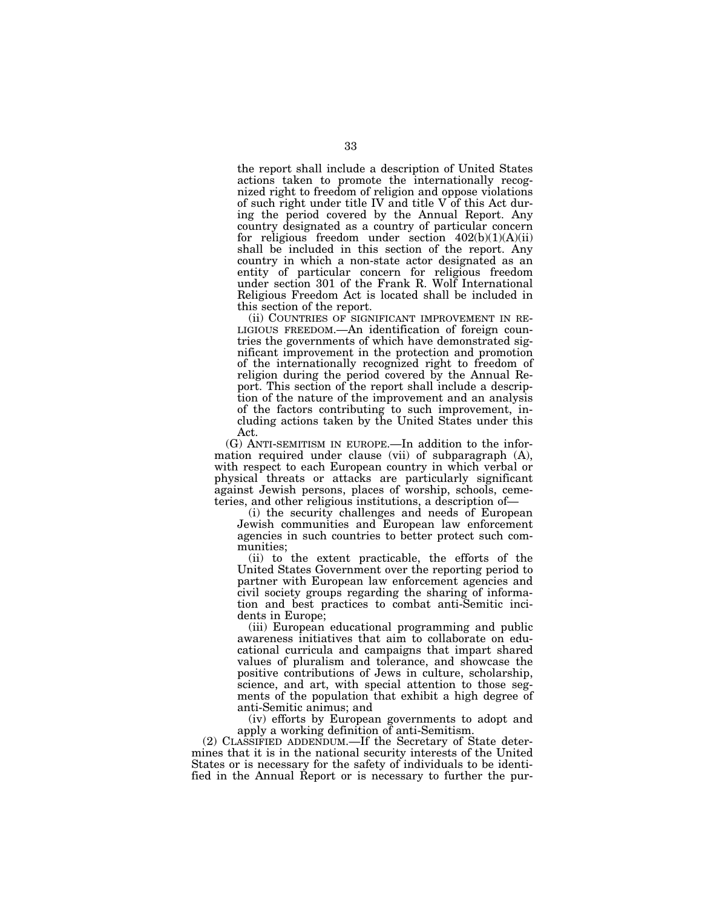the report shall include a description of United States actions taken to promote the internationally recognized right to freedom of religion and oppose violations of such right under title IV and title  $V$  of this Act during the period covered by the Annual Report. Any country designated as a country of particular concern for religious freedom under section  $402(b)(1)(A)(ii)$ shall be included in this section of the report. Any country in which a non-state actor designated as an entity of particular concern for religious freedom under section 301 of the Frank R. Wolf International Religious Freedom Act is located shall be included in this section of the report.

(ii) COUNTRIES OF SIGNIFICANT IMPROVEMENT IN RE-LIGIOUS FREEDOM.—An identification of foreign countries the governments of which have demonstrated significant improvement in the protection and promotion of the internationally recognized right to freedom of religion during the period covered by the Annual Report. This section of the report shall include a description of the nature of the improvement and an analysis of the factors contributing to such improvement, including actions taken by the United States under this Act.

(G) ANTI-SEMITISM IN EUROPE.—In addition to the information required under clause (vii) of subparagraph (A), with respect to each European country in which verbal or physical threats or attacks are particularly significant against Jewish persons, places of worship, schools, cemeteries, and other religious institutions, a description of—

(i) the security challenges and needs of European Jewish communities and European law enforcement agencies in such countries to better protect such communities;

(ii) to the extent practicable, the efforts of the United States Government over the reporting period to partner with European law enforcement agencies and civil society groups regarding the sharing of information and best practices to combat anti-Semitic incidents in Europe;

(iii) European educational programming and public awareness initiatives that aim to collaborate on educational curricula and campaigns that impart shared values of pluralism and tolerance, and showcase the positive contributions of Jews in culture, scholarship, science, and art, with special attention to those segments of the population that exhibit a high degree of anti-Semitic animus; and

(iv) efforts by European governments to adopt and apply a working definition of anti-Semitism.

(2) CLASSIFIED ADDENDUM.—If the Secretary of State determines that it is in the national security interests of the United States or is necessary for the safety of individuals to be identified in the Annual Report or is necessary to further the pur-